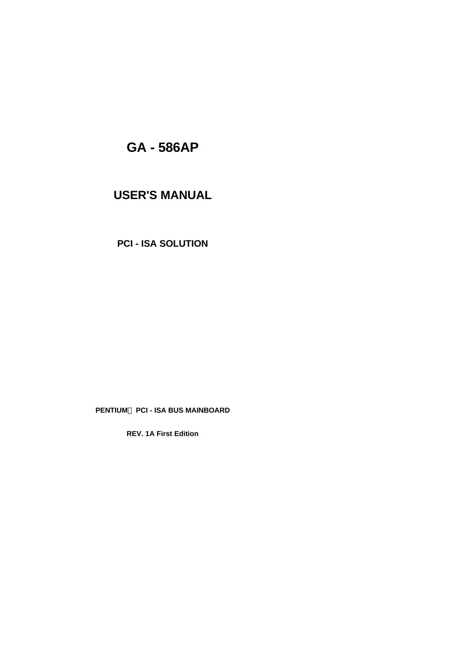# **GA - 586AP**

# **USER'S MANUAL**

**PCI - ISA SOLUTION**

## **PENTIUMä PCI - ISA BUS MAINBOARD**

**REV. 1A First Edition**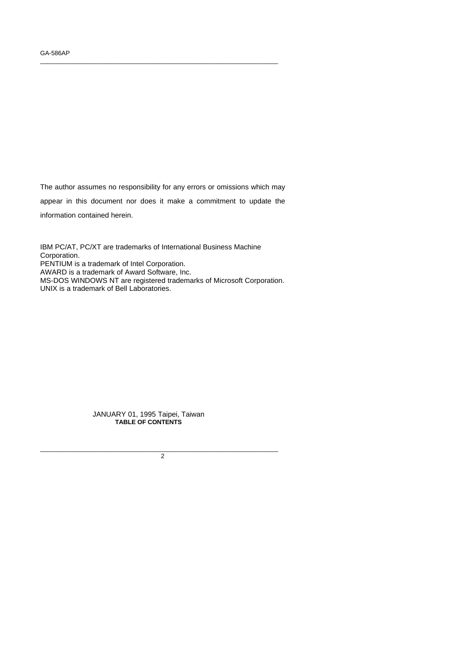The author assumes no responsibility for any errors or omissions which may appear in this document nor does it make a commitment to update the information contained herein.

\_\_\_\_\_\_\_\_\_\_\_\_\_\_\_\_\_\_\_\_\_\_\_\_\_\_\_\_\_\_\_\_\_\_\_\_\_\_\_\_\_\_\_\_\_\_\_\_\_\_\_\_\_\_\_\_\_\_\_\_\_\_\_\_\_\_\_\_\_\_

IBM PC/AT, PC/XT are trademarks of International Business Machine Corporation. PENTIUM is a trademark of Intel Corporation. AWARD is a trademark of Award Software, Inc. MS-DOS WINDOWS NT are registered trademarks of Microsoft Corporation. UNIX is a trademark of Bell Laboratories.

> JANUARY 01, 1995 Taipei, Taiwan **TABLE OF CONTENTS**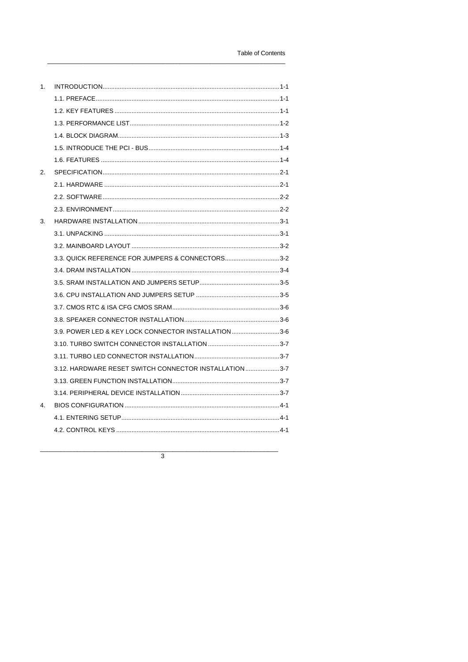| 1.             |                                                         |
|----------------|---------------------------------------------------------|
|                |                                                         |
|                | 1.2. KEY FEATURES ……………………………………………………………………………………… 1-1 |
|                |                                                         |
|                |                                                         |
|                |                                                         |
|                |                                                         |
| 2.             |                                                         |
|                |                                                         |
|                |                                                         |
|                |                                                         |
| 3.             |                                                         |
|                | 3.1. UNPACKING …………………………………………………………………………………………3-1    |
|                |                                                         |
|                | 3.3. QUICK REFERENCE FOR JUMPERS & CONNECTORS3-2        |
|                |                                                         |
|                |                                                         |
|                |                                                         |
|                |                                                         |
|                |                                                         |
|                | 3.9. POWER LED & KEY LOCK CONNECTOR INSTALLATION3-6     |
|                |                                                         |
|                |                                                         |
|                | 3.12. HARDWARE RESET SWITCH CONNECTOR INSTALLATION3-7   |
|                |                                                         |
|                |                                                         |
| $\overline{4}$ |                                                         |
|                |                                                         |
|                |                                                         |

 $\overline{3}$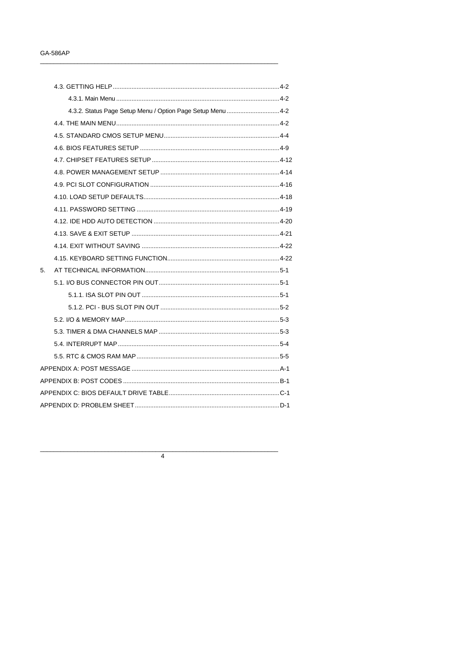|    | 4.3. GETTING HELP ………………………………………………………………………………………4-2      |  |
|----|-------------------------------------------------------------|--|
|    |                                                             |  |
|    | 4.3.2. Status Page Setup Menu / Option Page Setup Menu  4-2 |  |
|    |                                                             |  |
|    |                                                             |  |
|    |                                                             |  |
|    |                                                             |  |
|    |                                                             |  |
|    |                                                             |  |
|    |                                                             |  |
|    |                                                             |  |
|    |                                                             |  |
|    |                                                             |  |
|    |                                                             |  |
|    |                                                             |  |
| 5. |                                                             |  |
|    |                                                             |  |
|    |                                                             |  |
|    |                                                             |  |
|    |                                                             |  |
|    |                                                             |  |
|    |                                                             |  |
|    |                                                             |  |
|    |                                                             |  |
|    |                                                             |  |
|    |                                                             |  |
|    |                                                             |  |

 $\overline{4}$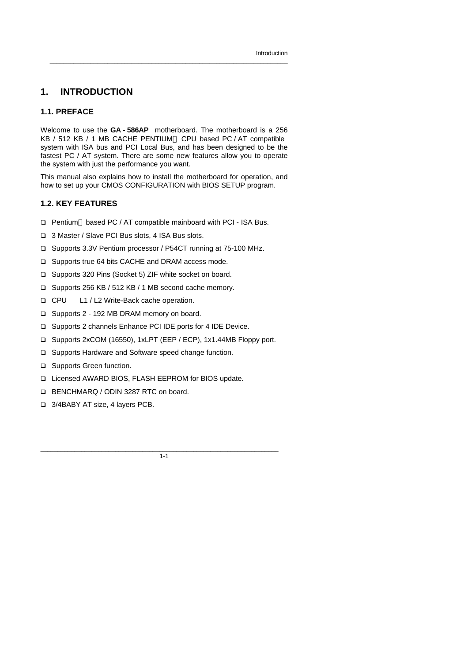## **1. INTRODUCTION**

### **1.1. PREFACE**

Welcome to use the **GA - 586AP** motherboard. The motherboard is a 256 KB / 512 KB / 1 MB CACHE PENTIUM™ CPU based PC / AT compatible system with ISA bus and PCI Local Bus, and has been designed to be the fastest PC / AT system. There are some new features allow you to operate the system with just the performance you want.

 $\_$  , and the set of the set of the set of the set of the set of the set of the set of the set of the set of the set of the set of the set of the set of the set of the set of the set of the set of the set of the set of th

This manual also explains how to install the motherboard for operation, and how to set up your CMOS CONFIGURATION with BIOS SETUP program.

### **1.2. KEY FEATURES**

- □ Pentium<sup>™</sup> based PC / AT compatible mainboard with PCI ISA Bus.
- q 3 Master / Slave PCI Bus slots, 4 ISA Bus slots.
- □ Supports 3.3V Pentium processor / P54CT running at 75-100 MHz.
- □ Supports true 64 bits CACHE and DRAM access mode.
- □ Supports 320 Pins (Socket 5) ZIF white socket on board.
- q Supports 256 KB / 512 KB / 1 MB second cache memory.
- q CPU L1 / L2 Write-Back cache operation.
- □ Supports 2 192 MB DRAM memory on board.
- □ Supports 2 channels Enhance PCI IDE ports for 4 IDE Device.
- q Supports 2xCOM (16550), 1xLPT (EEP / ECP), 1x1.44MB Floppy port.
- □ Supports Hardware and Software speed change function.
- □ Supports Green function.
- □ Licensed AWARD BIOS, FLASH EEPROM for BIOS update.
- **Q BENCHMARQ / ODIN 3287 RTC on board.**
- □ 3/4BABY AT size, 4 layers PCB.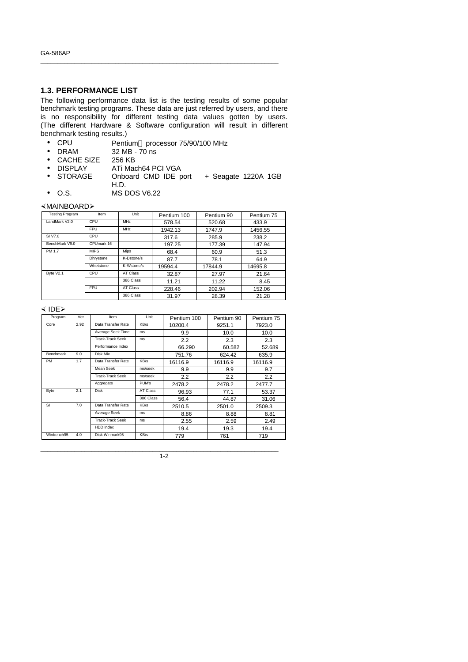### **1.3. PERFORMANCE LIST**

The following performance data list is the testing results of some popular benchmark testing programs. These data are just referred by users, and there is no responsibility for different testing data values gotten by users. (The different Hardware & Software configuration will result in different benchmark testing results.)

\_\_\_\_\_\_\_\_\_\_\_\_\_\_\_\_\_\_\_\_\_\_\_\_\_\_\_\_\_\_\_\_\_\_\_\_\_\_\_\_\_\_\_\_\_\_\_\_\_\_\_\_\_\_\_\_\_\_\_\_\_\_\_\_\_\_\_\_\_\_

- CPU Pentium<sup>™</sup> processor 75/90/100 MHz
- DRAM 32 MB 70 ns
- 
- CACHE SIZE 256 KB<br>• DISPLAY ATi Mad
- DISPLAY ATi Mach64 PCI VGA<br>• STORAGE Onboard CMD IDE p Onboard CMD IDE port + Seagate 1220A 1GB H.D.
- O.S. MS DOS V6.22

### ×MAINBOARDÿ

| <b>Testing Program</b> | Item        | Unit            | Pentium 100 | Pentium 90 | Pentium 75 |
|------------------------|-------------|-----------------|-------------|------------|------------|
| LandMark V2.0          | CPU         | M <sub>Hz</sub> | 578.54      | 520.68     | 433.9      |
|                        | <b>FPU</b>  | MHz             | 1942.13     | 1747.9     | 1456.55    |
| SI V7.0                | CPU         |                 | 317.6       | 285.9      | 238.2      |
| BenchMark V9.0         | CPUmark 16  |                 | 197.25      | 177.39     | 147.94     |
| PM 1.7                 | <b>MIPS</b> | Mips            | 68.4        | 60.9       | 51.3       |
|                        | Dhrystone   | K-Dstone/s      | 87.7        | 78.1       | 64.9       |
|                        | Whetstone   | K-Wstone/s      | 19594.4     | 17844.9    | 14695.8    |
| Byte V2.1              | CPU         | <b>AT Class</b> | 32.87       | 27.97      | 21.64      |
|                        |             | 386 Class       | 11.21       | 11.22      | 8.45       |
|                        | <b>FPU</b>  | <b>AT Class</b> | 228.46      | 202.94     | 152.06     |
|                        |             | 386 Class       | 31.97       | 28.39      | 21.28      |

#### $\leq$  IDE $\geq$

| Program          | Ver. | Item                    | Unit      | Pentium 100 | Pentium 90 | Pentium 75 |
|------------------|------|-------------------------|-----------|-------------|------------|------------|
| Core             | 2.92 | Data Transfer Rate      | KB/s      | 10200.4     | 9251.1     | 7923.0     |
|                  |      | Average Seek Time       | ms        | 9.9         | 10.0       | 10.0       |
|                  |      | Track-Track Seek        | ms        | 2.2         | 2.3        | 2.3        |
|                  |      | Performance Index       |           | 66.290      | 60.582     | 52.689     |
| <b>Benchmark</b> | 9.0  | Disk Mix                |           | 751.76      | 624.42     | 635.9      |
| <b>PM</b>        | 1.7  | Data Transfer Rate      | KB/s      | 16116.9     | 16116.9    | 16116.9    |
|                  |      | Mean Seek               | ms/seek   | 9.9         | 9.9        | 9.7        |
|                  |      | <b>Track-Track Seek</b> | ms/seek   | 2.2         | 2.2        | 2.2        |
|                  |      | Aggregate               | PUM's     | 2478.2      | 2478.2     | 2477.7     |
| Byte             | 2.1  | <b>Disk</b>             | AT Class  | 96.93       | 77.1       | 53.37      |
|                  |      |                         | 386 Class | 56.4        | 44.87      | 31.06      |
| <b>SI</b>        | 7.0  | Data Transfer Rate      | KB/s      | 2510.5      | 2501.0     | 2509.3     |
|                  |      | Average Seek            | ms        | 8.86        | 8.88       | 8.81       |
|                  |      | <b>Track-Track Seek</b> | ms        | 2.55        | 2.59       | 2.49       |
|                  |      | <b>HDD</b> Index        |           | 19.4        | 19.3       | 19.4       |
| Winbench95       | 4.0  | Disk Winmark95          | KB/s      | 779         | 761        | 719        |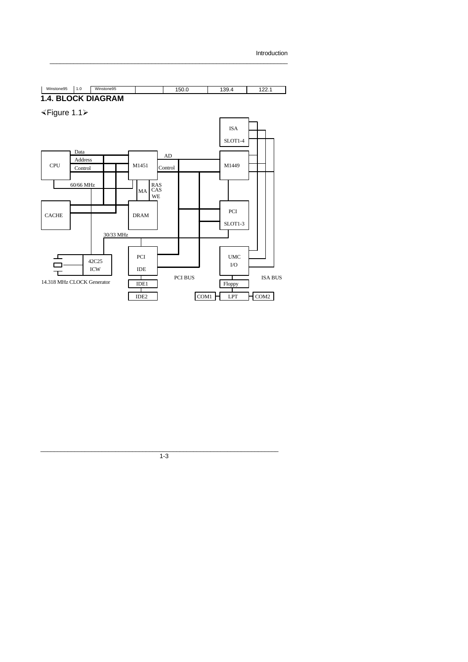```
Introduction
```


 $\_$  , and the set of the set of the set of the set of the set of the set of the set of the set of the set of the set of the set of the set of the set of the set of the set of the set of the set of the set of the set of th

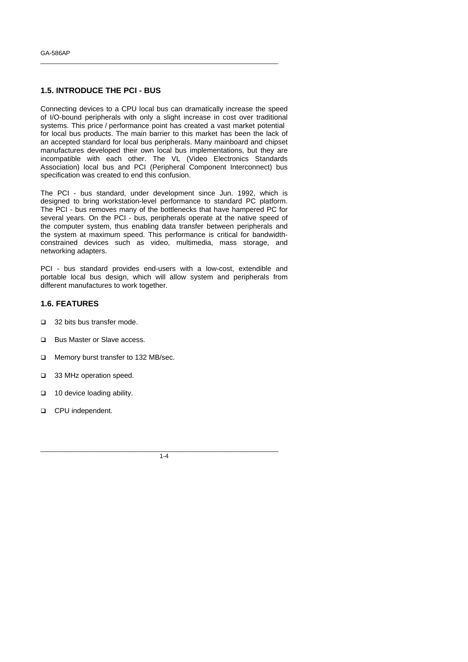### **1.5. INTRODUCE THE PCI - BUS**

Connecting devices to a CPU local bus can dramatically increase the speed of I/O-bound peripherals with only a slight increase in cost over traditional systems. This price / performance point has created a vast market potential for local bus products. The main barrier to this market has been the lack of an accepted standard for local bus peripherals. Many mainboard and chipset manufactures developed their own local bus implementations, but they are incompatible with each other. The VL (Video Electronics Standards Association) local bus and PCI (Peripheral Component Interconnect) bus specification was created to end this confusion.

\_\_\_\_\_\_\_\_\_\_\_\_\_\_\_\_\_\_\_\_\_\_\_\_\_\_\_\_\_\_\_\_\_\_\_\_\_\_\_\_\_\_\_\_\_\_\_\_\_\_\_\_\_\_\_\_\_\_\_\_\_\_\_\_\_\_\_\_\_\_

The PCI - bus standard, under development since Jun. 1992, which is designed to bring workstation-level performance to standard PC platform. The PCI - bus removes many of the bottlenecks that have hampered PC for several years. On the PCI - bus, peripherals operate at the native speed of the computer system, thus enabling data transfer between peripherals and the system at maximum speed. This performance is critical for bandwidthconstrained devices such as video, multimedia, mass storage, and networking adapters.

PCI - bus standard provides end-users with a low-cost, extendible and portable local bus design, which will allow system and peripherals from different manufactures to work together.

### **1.6. FEATURES**

- □ 32 bits bus transfer mode.
- **Q** Bus Master or Slave access.
- **Q** Memory burst transfer to 132 MB/sec.
- □ 33 MHz operation speed.
- **q** 10 device loading ability.
- **Q** CPU independent.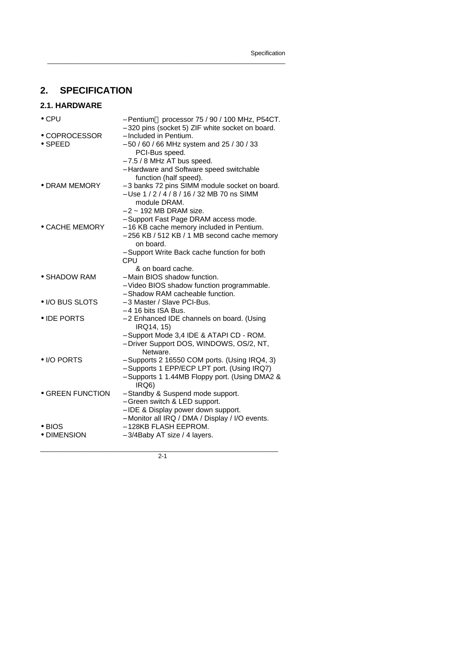# **2. SPECIFICATION**

## **2.1. HARDWARE**

| $\bullet$ CPU                    | - Pentium™ processor 75 / 90 / 100 MHz, P54CT.<br>- 320 pins (socket 5) ZIF white socket on board.                                                                                         |
|----------------------------------|--------------------------------------------------------------------------------------------------------------------------------------------------------------------------------------------|
| • COPROCESSOR<br>$\bullet$ SPEED | - Included in Pentium.<br>- 50 / 60 / 66 MHz system and 25 / 30 / 33<br>PCI-Bus speed.<br>$-7.5/8$ MHz AT bus speed.<br>- Hardware and Software speed switchable<br>function (half speed). |
| • DRAM MEMORY                    | - 3 banks 72 pins SIMM module socket on board.<br>- Use 1 / 2 / 4 / 8 / 16 / 32 MB 70 ns SIMM<br>module DRAM.<br>– 2 ~ 192 MB DRAM size.<br>- Support Fast Page DRAM access mode.          |
| • CACHE MEMORY                   | - 16 KB cache memory included in Pentium.<br>- 256 KB / 512 KB / 1 MB second cache memory<br>on board.<br>- Support Write Back cache function for both<br>CPU                              |
| • SHADOW RAM                     | & on board cache.<br>- Main BIOS shadow function.<br>- Video BIOS shadow function programmable.<br>- Shadow RAM cacheable function.                                                        |
| • I/O BUS SLOTS                  | - 3 Master / Slave PCI-Bus.<br>$-4$ 16 bits ISA Bus.                                                                                                                                       |
| • IDE PORTS                      | - 2 Enhanced IDE channels on board. (Using<br>IRQ14, 15)<br>- Support Mode 3,4 IDE & ATAPI CD - ROM.<br>- Driver Support DOS, WINDOWS, OS/2, NT,<br>Netware.                               |
| • I/O PORTS                      | - Supports 2 16550 COM ports. (Using IRQ4, 3)<br>- Supports 1 EPP/ECP LPT port. (Using IRQ7)<br>- Supports 1 1.44MB Floppy port. (Using DMA2 &<br>IRQ6)                                    |
| • GREEN FUNCTION                 | - Standby & Suspend mode support.<br>- Green switch & LED support.<br>- IDE & Display power down support.<br>- Monitor all IRQ / DMA / Display / I/O events.                               |
| $\bullet$ BIOS<br>• DIMENSION    | - 128KB FLASH EEPROM.<br>- 3/4Baby AT size / 4 layers.                                                                                                                                     |

\_\_\_\_\_\_\_\_\_\_\_\_\_\_\_\_\_\_\_\_\_\_\_\_\_\_\_\_\_\_\_\_\_\_\_\_\_\_\_\_\_\_\_\_\_\_\_\_\_\_\_\_\_\_\_\_\_\_\_\_\_\_\_\_\_\_\_\_\_\_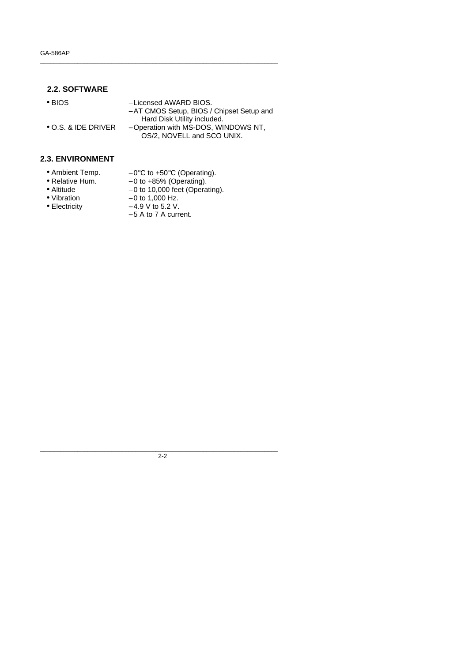### **2.2. SOFTWARE**

| $\bullet$ BIOS              | - Licensed AWARD BIOS.<br>- AT CMOS Setup, BIOS / Chipset Setup and |
|-----------------------------|---------------------------------------------------------------------|
|                             | Hard Disk Utility included.                                         |
| $\bullet$ O.S. & IDE DRIVER | - Operation with MS-DOS, WINDOWS NT,<br>OS/2, NOVELL and SCO UNIX.  |

\_\_\_\_\_\_\_\_\_\_\_\_\_\_\_\_\_\_\_\_\_\_\_\_\_\_\_\_\_\_\_\_\_\_\_\_\_\_\_\_\_\_\_\_\_\_\_\_\_\_\_\_\_\_\_\_\_\_\_\_\_\_\_\_\_\_\_\_\_\_

### **2.3. ENVIRONMENT**

- 
- Ambient Temp.  $-0$ °C to +50°C (Operating).<br>• Relative Hum.  $-0$  to +85% (Operating).
- Relative Hum. 0 to +85% (Operating).
	-
- Altitude  $-0$  to 10,000 feet (Operating).
- Vibration  $-0$  to 1,000 Hz.
- Electricity − 4.9 V to 5.2 V.
- - − 5 A to 7 A current.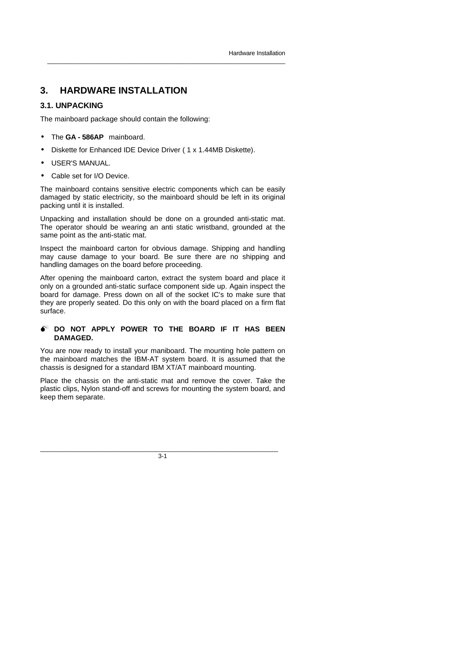## **3. HARDWARE INSTALLATION**

### **3.1. UNPACKING**

The mainboard package should contain the following:

- The **GA 586AP** mainboard.
- Diskette for Enhanced IDE Device Driver ( 1 x 1.44MB Diskette).
- USER'S MANUAL.
- Cable set for I/O Device.

The mainboard contains sensitive electric components which can be easily damaged by static electricity, so the mainboard should be left in its original packing until it is installed.

\_\_\_\_\_\_\_\_\_\_\_\_\_\_\_\_\_\_\_\_\_\_\_\_\_\_\_\_\_\_\_\_\_\_\_\_\_\_\_\_\_\_\_\_\_\_\_\_\_\_\_\_\_\_\_\_\_\_\_\_\_\_\_\_\_\_\_\_\_\_

Unpacking and installation should be done on a grounded anti-static mat. The operator should be wearing an anti static wristband, grounded at the same point as the anti-static mat.

Inspect the mainboard carton for obvious damage. Shipping and handling may cause damage to your board. Be sure there are no shipping and handling damages on the board before proceeding.

After opening the mainboard carton, extract the system board and place it only on a grounded anti-static surface component side up. Again inspect the board for damage. Press down on all of the socket IC's to make sure that they are properly seated. Do this only on with the board placed on a firm flat surface.

#### $\bullet$ <sup>\*</sup> DO NOT APPLY POWER TO THE BOARD IF IT HAS BEEN **DAMAGED.**

You are now ready to install your maniboard. The mounting hole pattern on the mainboard matches the IBM-AT system board. It is assumed that the chassis is designed for a standard IBM XT/AT mainboard mounting.

Place the chassis on the anti-static mat and remove the cover. Take the plastic clips, Nylon stand-off and screws for mounting the system board, and keep them separate.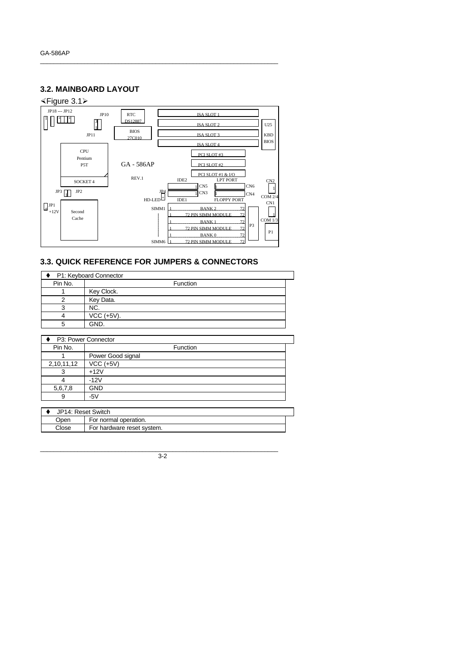## **3.2. MAINBOARD LAYOUT**



\_\_\_\_\_\_\_\_\_\_\_\_\_\_\_\_\_\_\_\_\_\_\_\_\_\_\_\_\_\_\_\_\_\_\_\_\_\_\_\_\_\_\_\_\_\_\_\_\_\_\_\_\_\_\_\_\_\_\_\_\_\_\_\_\_\_\_\_\_\_

### **3.3. QUICK REFERENCE FOR JUMPERS & CONNECTORS**

| P1: Keyboard Connector |              |  |  |
|------------------------|--------------|--|--|
| Pin No.                | Function     |  |  |
|                        | Key Clock.   |  |  |
|                        | Key Data.    |  |  |
|                        | NC.          |  |  |
|                        | $VCC (+5V).$ |  |  |
|                        | GND.         |  |  |

| P3: Power Connector |                   |  |  |  |
|---------------------|-------------------|--|--|--|
| Pin No.             | Function          |  |  |  |
|                     | Power Good signal |  |  |  |
| 2,10,11,12          | $VCC (+5V)$       |  |  |  |
| 3                   | $+12V$            |  |  |  |
|                     | $-12V$            |  |  |  |
| 5,6,7,8             | <b>GND</b>        |  |  |  |
| 9                   | $-5V$             |  |  |  |
|                     |                   |  |  |  |

|                               | JP14: Reset Switch         |  |  |
|-------------------------------|----------------------------|--|--|
| For normal operation.<br>)pen |                            |  |  |
| Close                         | For hardware reset system. |  |  |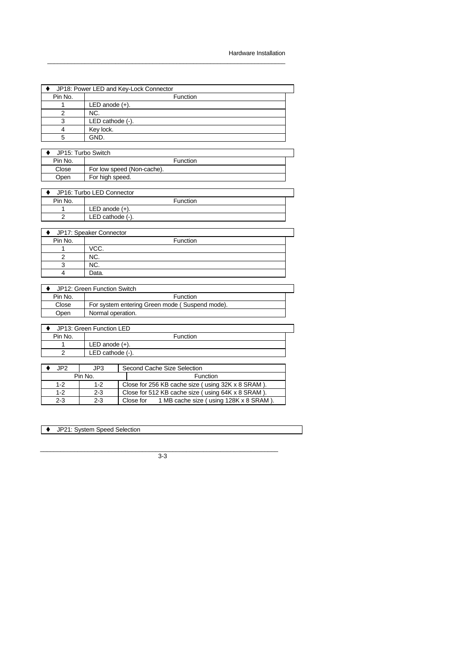| JP18: Power LED and Key-Lock Connector |                            |  |  |  |
|----------------------------------------|----------------------------|--|--|--|
| Pin No.                                | <b>Function</b>            |  |  |  |
|                                        | LED anode $(+)$ .          |  |  |  |
| 2                                      | NC.                        |  |  |  |
| 3                                      | LED cathode (-).           |  |  |  |
| 4                                      | Key lock.                  |  |  |  |
| 5                                      | GND.                       |  |  |  |
|                                        |                            |  |  |  |
|                                        | JP15: Turbo Switch         |  |  |  |
| Pin No.                                | Function                   |  |  |  |
| Close                                  | For low speed (Non-cache). |  |  |  |

| JP16: Turbo LED Connector |                     |  |  |  |
|---------------------------|---------------------|--|--|--|
| Pin No.                   | Function            |  |  |  |
|                           | LED anode $(+)$ .   |  |  |  |
|                           | LED cathode $(-)$ . |  |  |  |
|                           |                     |  |  |  |

| JP17: Speaker Connector |          |  |  |  |
|-------------------------|----------|--|--|--|
| Pin No.                 | Function |  |  |  |
|                         | VCC.     |  |  |  |
|                         | NC.      |  |  |  |
|                         | NC.      |  |  |  |
|                         | Data.    |  |  |  |

| JP12: Green Function Switch |                                                |  |
|-----------------------------|------------------------------------------------|--|
| Pin No.                     | Function                                       |  |
| Close                       | For system entering Green mode (Suspend mode). |  |
| Open                        | Normal operation.                              |  |

| JP13: Green Function LED |                                    |                   |  |  |
|--------------------------|------------------------------------|-------------------|--|--|
| Pin No.                  | Function                           |                   |  |  |
|                          |                                    | LED anode $(+)$ . |  |  |
|                          | $LED$ cathode $(-)$ .              |                   |  |  |
|                          |                                    |                   |  |  |
| JP <sub>2</sub>          | Second Cache Size Selection<br>JP3 |                   |  |  |
|                          | Pin No.                            | Function          |  |  |
|                          |                                    |                   |  |  |

| $1 - 2$ | $1-2$   | Close for 256 KB cache size (using 32K x 8 SRAM).   |  |  |
|---------|---------|-----------------------------------------------------|--|--|
| $1-2$   | $2 - 3$ | Close for 512 KB cache size (using 64K x 8 SRAM).   |  |  |
| 2-3     | $2 - 3$ | 1 MB cache size (using 128K x 8 SRAM).<br>Close for |  |  |

◆ JP21: System Speed Selection

Open For high speed.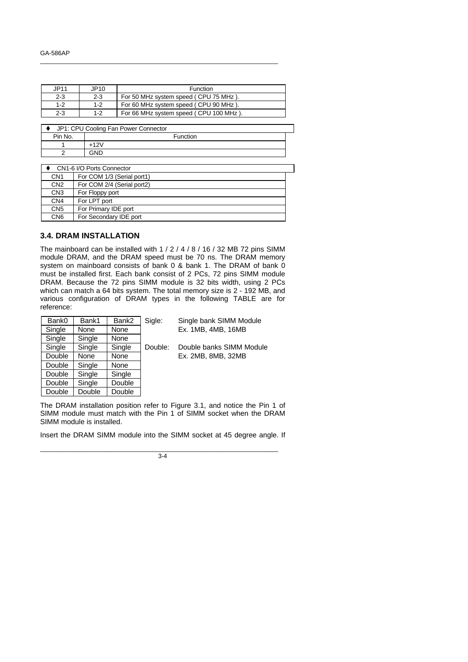| JP11    | JP10    | <b>Function</b>                        |
|---------|---------|----------------------------------------|
| $2 - 3$ | $2 - 3$ | For 50 MHz system speed (CPU 75 MHz).  |
| $1 - 2$ | $1 - 2$ | For 60 MHz system speed (CPU 90 MHz).  |
| $2 - 3$ | $1 - 2$ | For 66 MHz system speed (CPU 100 MHz). |

| JP1: CPU Cooling Fan Power Connector |          |  |  |
|--------------------------------------|----------|--|--|
| Pin No.                              | Function |  |  |
|                                      | $+12V$   |  |  |
|                                      | GND      |  |  |

|                 | CN1-6 I/O Ports Connector  |  |  |
|-----------------|----------------------------|--|--|
| CN <sub>1</sub> | For COM 1/3 (Serial port1) |  |  |
| CN <sub>2</sub> | For COM 2/4 (Serial port2) |  |  |
| CN <sub>3</sub> | For Floppy port            |  |  |
| CN <sub>4</sub> | For LPT port               |  |  |
| CN <sub>5</sub> | For Primary IDE port       |  |  |
| CN <sub>6</sub> | For Secondary IDE port     |  |  |

### **3.4. DRAM INSTALLATION**

The mainboard can be installed with 1 / 2 / 4 / 8 / 16 / 32 MB 72 pins SIMM module DRAM, and the DRAM speed must be 70 ns. The DRAM memory system on mainboard consists of bank 0 & bank 1. The DRAM of bank 0 must be installed first. Each bank consist of 2 PCs, 72 pins SIMM module DRAM. Because the 72 pins SIMM module is 32 bits width, using 2 PCs which can match a 64 bits system. The total memory size is 2 - 192 MB, and various configuration of DRAM types in the following TABLE are for reference:

| Bank0  | Bank1  | Bank2  | Sigle: |
|--------|--------|--------|--------|
| Single | None   | None   |        |
| Single | Single | None   |        |
| Single | Single | Single | Doubl  |
| Double | None   | None   |        |
| Double | Single | None   |        |
| Double | Single | Single |        |
| Double | Single | Double |        |
| Double | Double | Double |        |

Single bank SIMM Module Ex. 1MB, 4MB, 16MB

le: Double banks SIMM Module Ex. 2MB, 8MB, 32MB

The DRAM installation position refer to Figure 3.1, and notice the Pin 1 of SIMM module must match with the Pin 1 of SIMM socket when the DRAM SIMM module is installed.

Insert the DRAM SIMM module into the SIMM socket at 45 degree angle. If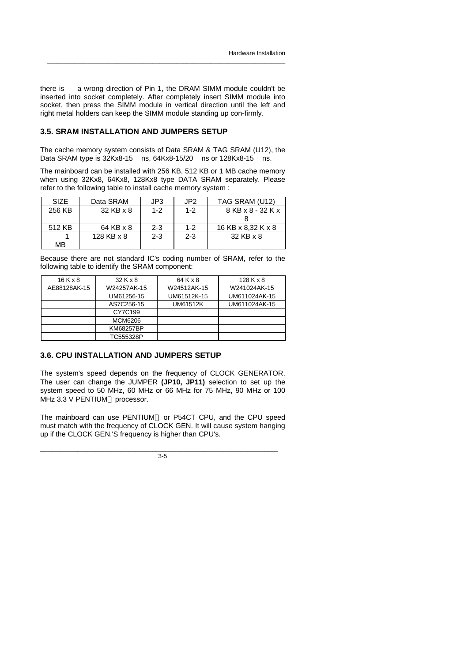there is a wrong direction of Pin 1, the DRAM SIMM module couldn't be inserted into socket completely. After completely insert SIMM module into socket, then press the SIMM module in vertical direction until the left and right metal holders can keep the SIMM module standing up con-firmly.

\_\_\_\_\_\_\_\_\_\_\_\_\_\_\_\_\_\_\_\_\_\_\_\_\_\_\_\_\_\_\_\_\_\_\_\_\_\_\_\_\_\_\_\_\_\_\_\_\_\_\_\_\_\_\_\_\_\_\_\_\_\_\_\_\_\_\_\_\_\_

### **3.5. SRAM INSTALLATION AND JUMPERS SETUP**

The cache memory system consists of Data SRAM & TAG SRAM (U12), the Data SRAM type is 32Kx8-15 ns, 64Kx8-15/20 ns or 128Kx8-15 ns.

The mainboard can be installed with 256 KB, 512 KB or 1 MB cache memory when using 32Kx8, 64Kx8, 128Kx8 type DATA SRAM separately. Please refer to the following table to install cache memory system :

| <b>SIZE</b> | Data SRAM  | JP3     | JP <sub>2</sub> | TAG SRAM (U12)     |
|-------------|------------|---------|-----------------|--------------------|
| 256 KB      | 32 KB x 8  | $1 - 2$ | $1 - 2$         | 8 KB x 8 - 32 K x  |
|             |            |         |                 |                    |
| 512 KB      | 64 KB x 8  | $2 - 3$ | $1 - 2$         | 16 KB x 8.32 K x 8 |
|             | 128 KB x 8 | $2 - 3$ | $2 - 3$         | 32 KB x 8          |
| MВ          |            |         |                 |                    |

Because there are not standard IC's coding number of SRAM, refer to the following table to identify the SRAM component:

| $16$ K x 8   | 32 K x 8    | 64 K x 8        | 128Kx8        |
|--------------|-------------|-----------------|---------------|
| AE88128AK-15 | W24257AK-15 | W24512AK-15     | W241024AK-15  |
|              | UM61256-15  | UM61512K-15     | UM611024AK-15 |
|              | AS7C256-15  | <b>UM61512K</b> | UM611024AK-15 |
|              | CY7C199     |                 |               |
|              | MCM6206     |                 |               |
|              | KM68257BP   |                 |               |
|              | TC555328P   |                 |               |

### **3.6. CPU INSTALLATION AND JUMPERS SETUP**

The system's speed depends on the frequency of CLOCK GENERATOR. The user can change the JUMPER **(JP10, JP11)** selection to set up the system speed to 50 MHz, 60 MHz or 66 MHz for 75 MHz, 90 MHz or 100 MHz 3.3 V PENTIUM™ processor.

The mainboard can use PENTIUM™ or P54CT CPU, and the CPU speed must match with the frequency of CLOCK GEN. It will cause system hanging up if the CLOCK GEN.'S frequency is higher than CPU's.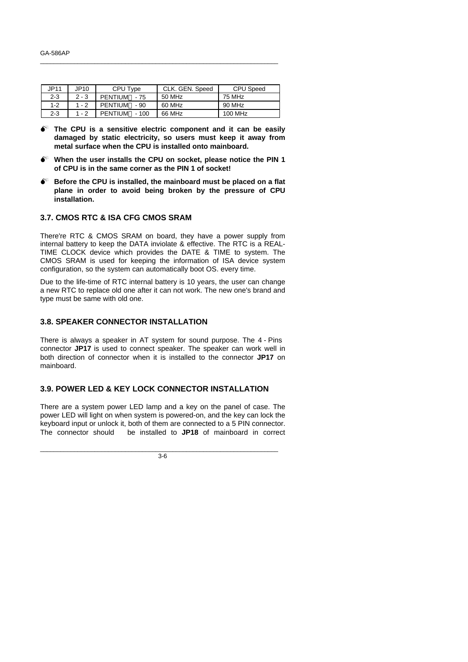| JP11    | JP10    | CPU Type       | CLK. GEN. Speed | CPU Speed |
|---------|---------|----------------|-----------------|-----------|
| $2 - 3$ | $2 - 3$ | PENTIUM™ - 75  | 50 MHz          | 75 MHz    |
| $1 - 2$ | 1 - 2   | PENTIUM™ - 90  | 60 MHz          | 90 MHz    |
| 2-3     | 1 - 2   | PENTIUM™ - 100 | 66 MHz          | 100 MHz   |

- $\bullet^*$  The CPU is a sensitive electric component and it can be easily **damaged by static electricity, so users must keep it away from metal surface when the CPU is installed onto mainboard.**
- **M When the user installs the CPU on socket, please notice the PIN 1 of CPU is in the same corner as the PIN 1 of socket!**
- $\bullet^*$  Before the CPU is installed, the mainboard must be placed on a flat **plane in order to avoid being broken by the pressure of CPU installation.**

### **3.7. CMOS RTC & ISA CFG CMOS SRAM**

There're RTC & CMOS SRAM on board, they have a power supply from internal battery to keep the DATA inviolate & effective. The RTC is a REAL-TIME CLOCK device which provides the DATE & TIME to system. The CMOS SRAM is used for keeping the information of ISA device system configuration, so the system can automatically boot OS. every time.

Due to the life-time of RTC internal battery is 10 years, the user can change a new RTC to replace old one after it can not work. The new one's brand and type must be same with old one.

### **3.8. SPEAKER CONNECTOR INSTALLATION**

There is always a speaker in AT system for sound purpose. The 4 - Pins connector **JP17** is used to connect speaker. The speaker can work well in both direction of connector when it is installed to the connector **JP17** on mainboard.

### **3.9. POWER LED & KEY LOCK CONNECTOR INSTALLATION**

There are a system power LED lamp and a key on the panel of case. The power LED will light on when system is powered-on, and the key can lock the keyboard input or unlock it, both of them are connected to a 5 PIN connector. The connector should be installed to **JP18** of mainboard in correct

\_\_\_\_\_\_\_\_\_\_\_\_\_\_\_\_\_\_\_\_\_\_\_\_\_\_\_\_\_\_\_\_\_\_\_\_\_\_\_\_\_\_\_\_\_\_\_\_\_\_\_\_\_\_\_\_\_\_\_\_\_\_\_\_\_\_\_\_\_\_  $\overline{3.6}$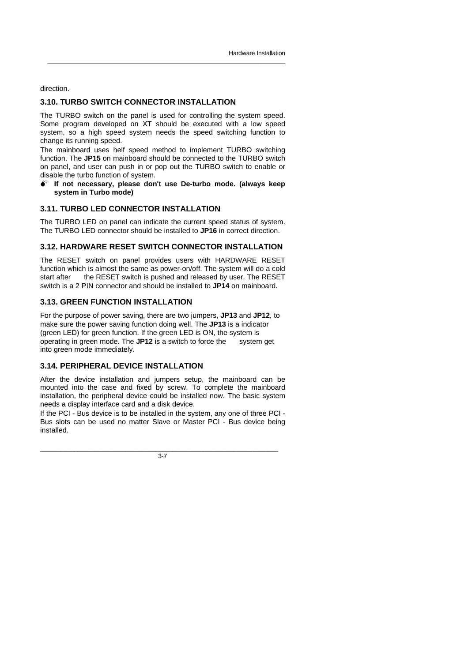direction.

### **3.10. TURBO SWITCH CONNECTOR INSTALLATION**

The TURBO switch on the panel is used for controlling the system speed. Some program developed on XT should be executed with a low speed system, so a high speed system needs the speed switching function to change its running speed.

\_\_\_\_\_\_\_\_\_\_\_\_\_\_\_\_\_\_\_\_\_\_\_\_\_\_\_\_\_\_\_\_\_\_\_\_\_\_\_\_\_\_\_\_\_\_\_\_\_\_\_\_\_\_\_\_\_\_\_\_\_\_\_\_\_\_\_\_\_\_

The mainboard uses helf speed method to implement TURBO switching function. The **JP15** on mainboard should be connected to the TURBO switch on panel, and user can push in or pop out the TURBO switch to enable or disable the turbo function of system.

**M If not necessary, please don't use De-turbo mode. (always keep system in Turbo mode)**

### **3.11. TURBO LED CONNECTOR INSTALLATION**

The TURBO LED on panel can indicate the current speed status of system. The TURBO LED connector should be installed to **JP16** in correct direction.

### **3.12. HARDWARE RESET SWITCH CONNECTOR INSTALLATION**

The RESET switch on panel provides users with HARDWARE RESET function which is almost the same as power-on/off. The system will do a cold start after the RESET switch is pushed and released by user. The RESET switch is a 2 PIN connector and should be installed to **JP14** on mainboard.

### **3.13. GREEN FUNCTION INSTALLATION**

For the purpose of power saving, there are two jumpers, **JP13** and **JP12**, to make sure the power saving function doing well. The **JP13** is a indicator (green LED) for green function. If the green LED is ON, the system is operating in green mode. The **JP12** is a switch to force the system get into green mode immediately.

### **3.14. PERIPHERAL DEVICE INSTALLATION**

After the device installation and jumpers setup, the mainboard can be mounted into the case and fixed by screw. To complete the mainboard installation, the peripheral device could be installed now. The basic system needs a display interface card and a disk device.

If the PCI - Bus device is to be installed in the system, any one of three PCI - Bus slots can be used no matter Slave or Master PCI - Bus device being installed.

\_\_\_\_\_\_\_\_\_\_\_\_\_\_\_\_\_\_\_\_\_\_\_\_\_\_\_\_\_\_\_\_\_\_\_\_\_\_\_\_\_\_\_\_\_\_\_\_\_\_\_\_\_\_\_\_\_\_\_\_\_\_\_\_\_\_\_\_\_\_  $\overline{3.7}$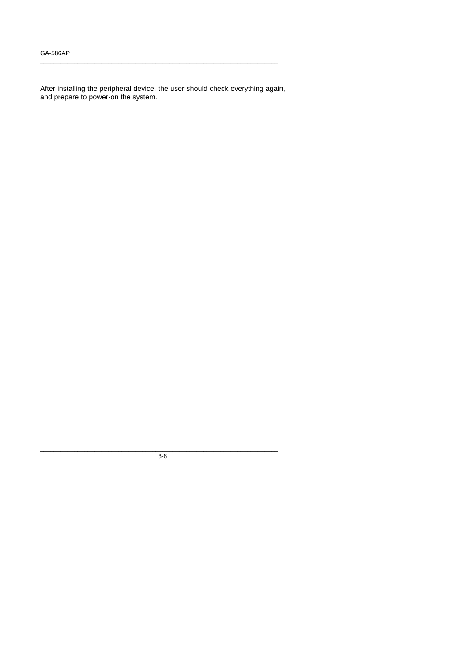After installing the peripheral device, the user should check everything again, and prepare to power-on the system.

\_\_\_\_\_\_\_\_\_\_\_\_\_\_\_\_\_\_\_\_\_\_\_\_\_\_\_\_\_\_\_\_\_\_\_\_\_\_\_\_\_\_\_\_\_\_\_\_\_\_\_\_\_\_\_\_\_\_\_\_\_\_\_\_\_\_\_\_\_\_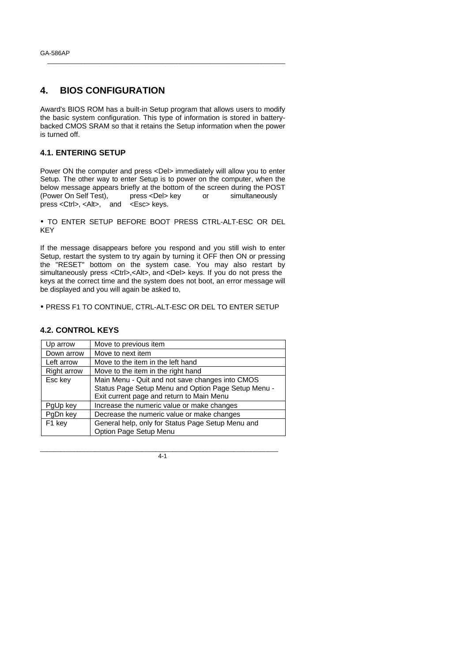## **4. BIOS CONFIGURATION**

Award's BIOS ROM has a built-in Setup program that allows users to modify the basic system configuration. This type of information is stored in batterybacked CMOS SRAM so that it retains the Setup information when the power is turned off.

\_\_\_\_\_\_\_\_\_\_\_\_\_\_\_\_\_\_\_\_\_\_\_\_\_\_\_\_\_\_\_\_\_\_\_\_\_\_\_\_\_\_\_\_\_\_\_\_\_\_\_\_\_\_\_\_\_\_\_\_\_\_\_\_\_\_\_\_\_\_

### **4.1. ENTERING SETUP**

Power ON the computer and press <Del> immediately will allow you to enter Setup. The other way to enter Setup is to power on the computer, when the below message appears briefly at the bottom of the screen during the POST (Power On Self Test), press <Del> key or simultaneously press <Ctrl>, <Alt>, and <Esc> keys.

ü TO ENTER SETUP BEFORE BOOT PRESS CTRL-ALT-ESC OR DEL KEY

If the message disappears before you respond and you still wish to enter Setup, restart the system to try again by turning it OFF then ON or pressing the "RESET" bottom on the system case. You may also restart by simultaneously press <Ctrl>,<Alt>, and <Del> keys. If you do not press the keys at the correct time and the system does not boot, an error message will be displayed and you will again be asked to,

ü PRESS F1 TO CONTINUE, CTRL-ALT-ESC OR DEL TO ENTER SETUP

### **4.2. CONTROL KEYS**

| Up arrow    | Move to previous item                               |  |
|-------------|-----------------------------------------------------|--|
| Down arrow  | Move to next item                                   |  |
| Left arrow  | Move to the item in the left hand                   |  |
| Right arrow | Move to the item in the right hand                  |  |
| Esc key     | Main Menu - Quit and not save changes into CMOS     |  |
|             | Status Page Setup Menu and Option Page Setup Menu - |  |
|             | Exit current page and return to Main Menu           |  |
| PgUp key    | Increase the numeric value or make changes          |  |
| PgDn key    | Decrease the numeric value or make changes          |  |
| F1 key      | General help, only for Status Page Setup Menu and   |  |
|             | Option Page Setup Menu                              |  |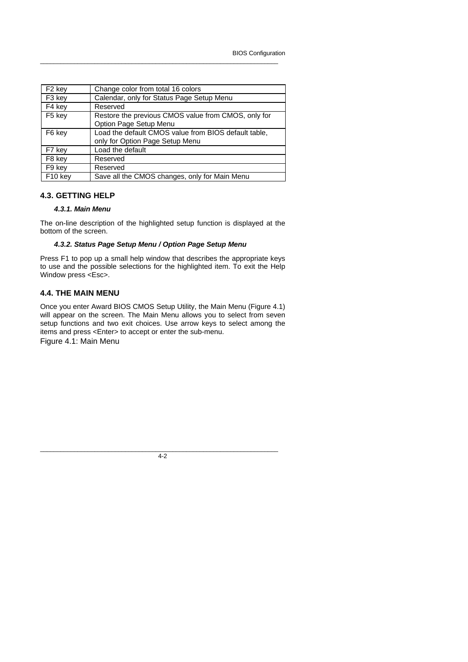| F <sub>2</sub> key  | Change color from total 16 colors                                                       |
|---------------------|-----------------------------------------------------------------------------------------|
| F3 key              | Calendar, only for Status Page Setup Menu                                               |
| F4 key              | Reserved                                                                                |
| F5 key              | Restore the previous CMOS value from CMOS, only for<br>Option Page Setup Menu           |
| F6 key              | Load the default CMOS value from BIOS default table,<br>only for Option Page Setup Menu |
| F7 key              | Load the default                                                                        |
| F8 key              | Reserved                                                                                |
| F9 key              | Reserved                                                                                |
| F <sub>10</sub> key | Save all the CMOS changes, only for Main Menu                                           |

### **4.3. GETTING HELP**

#### *4.3.1. Main Menu*

The on-line description of the highlighted setup function is displayed at the bottom of the screen.

#### *4.3.2. Status Page Setup Menu / Option Page Setup Menu*

Press F1 to pop up a small help window that describes the appropriate keys to use and the possible selections for the highlighted item. To exit the Help Window press <Esc>.

#### **4.4. THE MAIN MENU**

Once you enter Award BIOS CMOS Setup Utility, the Main Menu (Figure 4.1) will appear on the screen. The Main Menu allows you to select from seven setup functions and two exit choices. Use arrow keys to select among the items and press <Enter> to accept or enter the sub-menu.

Figure 4.1: Main Menu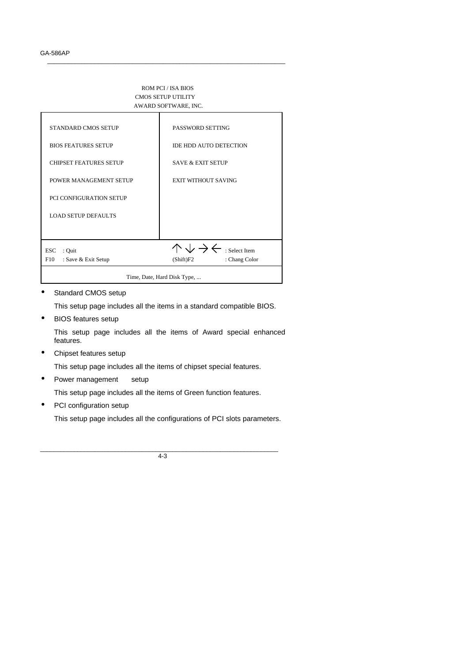#### ROM PCI / ISA BIOS CMOS SETUP UTILITY AWARD SOFTWARE, INC.

\_\_\_\_\_\_\_\_\_\_\_\_\_\_\_\_\_\_\_\_\_\_\_\_\_\_\_\_\_\_\_\_\_\_\_\_\_\_\_\_\_\_\_\_\_\_\_\_\_\_\_\_\_\_\_\_\_\_\_\_\_\_\_\_\_\_\_\_\_\_



• Standard CMOS setup

This setup page includes all the items in a standard compatible BIOS.

• BIOS features setup

This setup page includes all the items of Award special enhanced features.

• Chipset features setup

This setup page includes all the items of chipset special features.

Power management setup

This setup page includes all the items of Green function features.

PCI configuration setup

This setup page includes all the configurations of PCI slots parameters.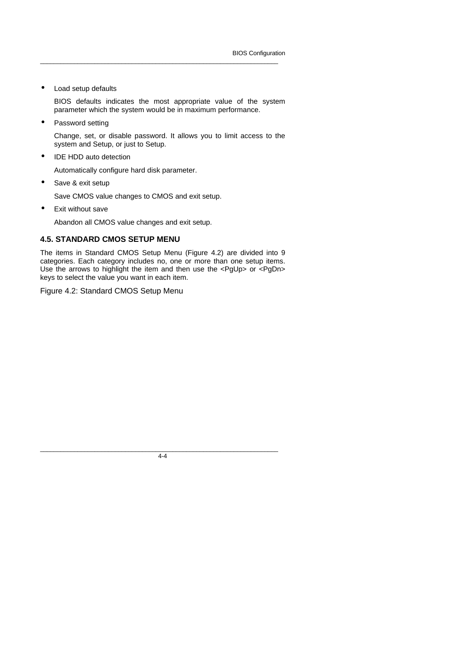• Load setup defaults

BIOS defaults indicates the most appropriate value of the system parameter which the system would be in maximum performance.

\_\_\_\_\_\_\_\_\_\_\_\_\_\_\_\_\_\_\_\_\_\_\_\_\_\_\_\_\_\_\_\_\_\_\_\_\_\_\_\_\_\_\_\_\_\_\_\_\_\_\_\_\_\_\_\_\_\_\_\_\_\_\_\_\_\_\_\_\_\_

Password setting

Change, set, or disable password. It allows you to limit access to the system and Setup, or just to Setup.

IDE HDD auto detection

Automatically configure hard disk parameter.

Save & exit setup

Save CMOS value changes to CMOS and exit setup.

• Exit without save

Abandon all CMOS value changes and exit setup.

### **4.5. STANDARD CMOS SETUP MENU**

The items in Standard CMOS Setup Menu (Figure 4.2) are divided into 9 categories. Each category includes no, one or more than one setup items. Use the arrows to highlight the item and then use the <PgUp> or <PgDn> keys to select the value you want in each item.

Figure 4.2: Standard CMOS Setup Menu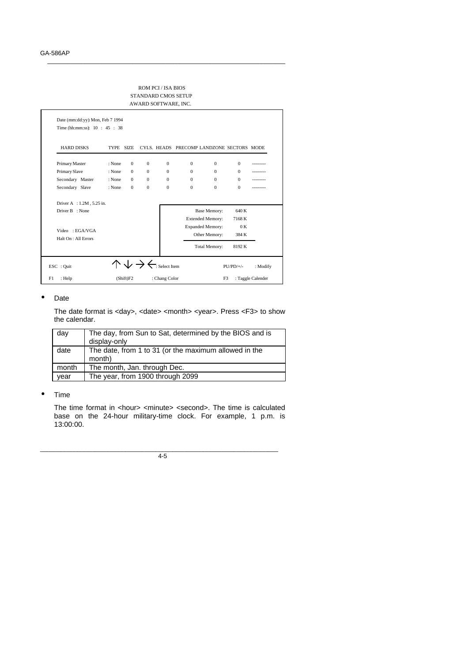#### ROM PCI / ISA BIOS STANDARD CMOS SETUP AWARD SOFTWARE, INC.

\_\_\_\_\_\_\_\_\_\_\_\_\_\_\_\_\_\_\_\_\_\_\_\_\_\_\_\_\_\_\_\_\_\_\_\_\_\_\_\_\_\_\_\_\_\_\_\_\_\_\_\_\_\_\_\_\_\_\_\_\_\_\_\_\_\_\_\_\_\_

| <b>HARD DISKS</b>         | <b>TYPE</b> | SIZE.        |              |              | CYLS. HEADS PRECOMP LANDZONE SECTORS MODE |                         |          |  |
|---------------------------|-------------|--------------|--------------|--------------|-------------------------------------------|-------------------------|----------|--|
| Primary Master            | : None      | $\mathbf{0}$ | $\mathbf{0}$ | $\mathbf{0}$ | $\mathbf{0}$                              | $\Omega$                | $\Omega$ |  |
| Primary Slave             | : None      | $\Omega$     | $\Omega$     | $\Omega$     | $\Omega$                                  | $\Omega$                | $\Omega$ |  |
| Secondary Master          | : None      | $\Omega$     | $\Omega$     | $\Omega$     | $\Omega$                                  | $\Omega$                | $\Omega$ |  |
| Secondary Slave           | : None      | $\Omega$     | $\mathbf{0}$ | $\mathbf{0}$ | $\Omega$                                  | $\Omega$                | $\Omega$ |  |
| Driver A : 1.2M, 5.25 in. |             |              |              |              |                                           |                         |          |  |
| Driver B : None           |             |              |              |              |                                           | <b>Base Memory:</b>     | 640 K    |  |
|                           |             |              |              |              |                                           | <b>Extended Memory:</b> | 7168 K   |  |
| Video : EGAVGA            |             |              |              |              |                                           | <b>Expanded Memory:</b> | 0K       |  |
| Halt On : All Errors      |             |              |              |              |                                           | Other Memory:           | 384 K    |  |
|                           |             |              |              |              |                                           | <b>Total Memory:</b>    | 8192K    |  |

### • Date

The date format is <day>, <date> <month> <year>. Press <F3> to show the calendar.

| day   | The day, from Sun to Sat, determined by the BIOS and is<br>display-only |
|-------|-------------------------------------------------------------------------|
| date  | The date, from 1 to 31 (or the maximum allowed in the<br>month)         |
| month | The month, Jan. through Dec.                                            |
| year  | The year, from 1900 through 2099                                        |

#### • Time

The time format in <hour> <minute> <second>. The time is calculated base on the 24-hour military-time clock. For example, 1 p.m. is 13:00:00.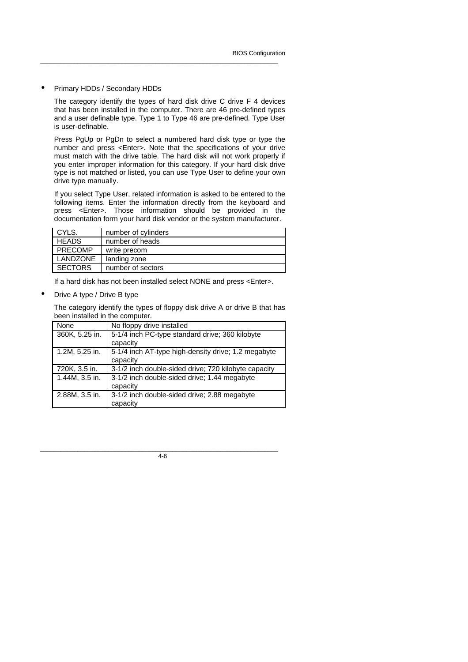#### • Primary HDDs / Secondary HDDs

The category identify the types of hard disk drive C drive F 4 devices that has been installed in the computer. There are 46 pre-defined types and a user definable type. Type 1 to Type 46 are pre-defined. Type User is user-definable.

\_\_\_\_\_\_\_\_\_\_\_\_\_\_\_\_\_\_\_\_\_\_\_\_\_\_\_\_\_\_\_\_\_\_\_\_\_\_\_\_\_\_\_\_\_\_\_\_\_\_\_\_\_\_\_\_\_\_\_\_\_\_\_\_\_\_\_\_\_\_

Press PgUp or PgDn to select a numbered hard disk type or type the number and press <Enter>. Note that the specifications of your drive must match with the drive table. The hard disk will not work properly if you enter improper information for this category. If your hard disk drive type is not matched or listed, you can use Type User to define your own drive type manually.

If you select Type User, related information is asked to be entered to the following items. Enter the information directly from the keyboard and press <Enter>. Those information should be provided in the documentation form your hard disk vendor or the system manufacturer.

| CYLS.          | number of cylinders |
|----------------|---------------------|
| <b>HEADS</b>   | number of heads     |
| <b>PRECOMP</b> | write precom        |
| LANDZONE       | landing zone        |
| <b>SECTORS</b> | number of sectors   |
|                |                     |

If a hard disk has not been installed select NONE and press <Enter>.

• Drive A type / Drive B type

The category identify the types of floppy disk drive A or drive B that has been installed in the computer.

| None           | No floppy drive installed                            |
|----------------|------------------------------------------------------|
| 360K, 5.25 in. | 5-1/4 inch PC-type standard drive; 360 kilobyte      |
|                | capacity                                             |
| 1.2M, 5.25 in. | 5-1/4 inch AT-type high-density drive; 1.2 megabyte  |
|                | capacity                                             |
| 720K, 3.5 in.  | 3-1/2 inch double-sided drive; 720 kilobyte capacity |
| 1.44M, 3.5 in. | 3-1/2 inch double-sided drive; 1.44 megabyte         |
|                | capacity                                             |
| 2.88M, 3.5 in. | 3-1/2 inch double-sided drive; 2.88 megabyte         |
|                | capacity                                             |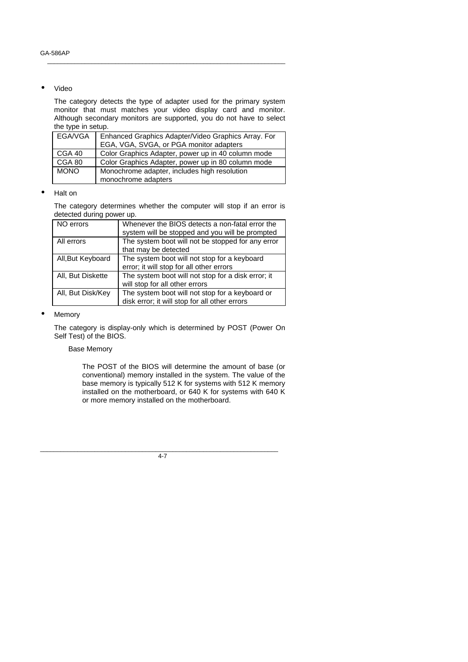#### • Video

The category detects the type of adapter used for the primary system monitor that must matches your video display card and monitor. Although secondary monitors are supported, you do not have to select the type in setup.

\_\_\_\_\_\_\_\_\_\_\_\_\_\_\_\_\_\_\_\_\_\_\_\_\_\_\_\_\_\_\_\_\_\_\_\_\_\_\_\_\_\_\_\_\_\_\_\_\_\_\_\_\_\_\_\_\_\_\_\_\_\_\_\_\_\_\_\_\_\_

|             | EGA/VGA   Enhanced Graphics Adapter/Video Graphics Array. For<br>EGA, VGA, SVGA, or PGA monitor adapters |
|-------------|----------------------------------------------------------------------------------------------------------|
| CGA 40      | Color Graphics Adapter, power up in 40 column mode                                                       |
| CGA 80      | Color Graphics Adapter, power up in 80 column mode                                                       |
| <b>MONO</b> | Monochrome adapter, includes high resolution                                                             |
|             | monochrome adapters                                                                                      |

#### • Halt on

The category determines whether the computer will stop if an error is detected during power up.

| NO errors         | Whenever the BIOS detects a non-fatal error the    |
|-------------------|----------------------------------------------------|
|                   | system will be stopped and you will be prompted    |
| All errors        | The system boot will not be stopped for any error  |
|                   | that may be detected                               |
| All, But Keyboard | The system boot will not stop for a keyboard       |
|                   | error; it will stop for all other errors           |
| All, But Diskette | The system boot will not stop for a disk error; it |
|                   | will stop for all other errors                     |
| All, But Disk/Key | The system boot will not stop for a keyboard or    |
|                   | disk error; it will stop for all other errors      |

#### • Memory

The category is display-only which is determined by POST (Power On Self Test) of the BIOS.

### Base Memory

The POST of the BIOS will determine the amount of base (or conventional) memory installed in the system. The value of the base memory is typically 512 K for systems with 512 K memory installed on the motherboard, or 640 K for systems with 640 K or more memory installed on the motherboard.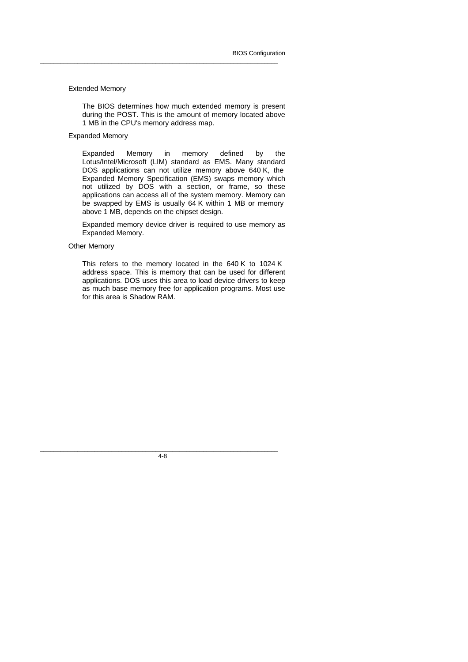#### Extended Memory

The BIOS determines how much extended memory is present during the POST. This is the amount of memory located above 1 MB in the CPU's memory address map.

\_\_\_\_\_\_\_\_\_\_\_\_\_\_\_\_\_\_\_\_\_\_\_\_\_\_\_\_\_\_\_\_\_\_\_\_\_\_\_\_\_\_\_\_\_\_\_\_\_\_\_\_\_\_\_\_\_\_\_\_\_\_\_\_\_\_\_\_\_\_

### Expanded Memory

Expanded Memory in memory defined by the Lotus/Intel/Microsoft (LIM) standard as EMS. Many standard DOS applications can not utilize memory above 640 K, the Expanded Memory Specification (EMS) swaps memory which not utilized by DOS with a section, or frame, so these applications can access all of the system memory. Memory can be swapped by EMS is usually 64 K within 1 MB or memory above 1 MB, depends on the chipset design.

Expanded memory device driver is required to use memory as Expanded Memory.

#### Other Memory

This refers to the memory located in the 640 K to 1024 K address space. This is memory that can be used for different applications. DOS uses this area to load device drivers to keep as much base memory free for application programs. Most use for this area is Shadow RAM.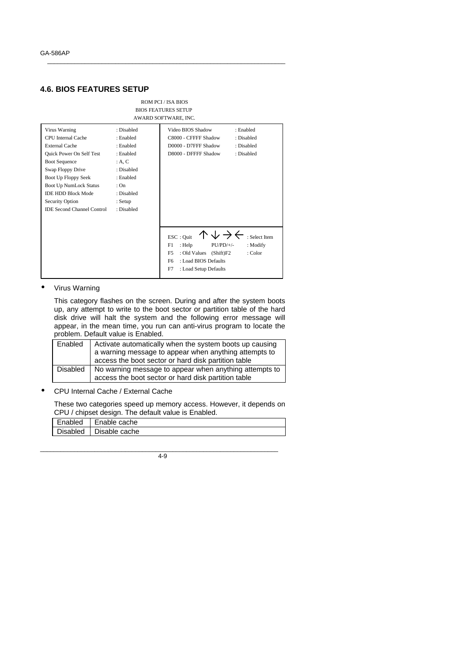### **4.6. BIOS FEATURES SETUP**



\_\_\_\_\_\_\_\_\_\_\_\_\_\_\_\_\_\_\_\_\_\_\_\_\_\_\_\_\_\_\_\_\_\_\_\_\_\_\_\_\_\_\_\_\_\_\_\_\_\_\_\_\_\_\_\_\_\_\_\_\_\_\_\_\_\_\_\_\_\_

#### • Virus Warning

This category flashes on the screen. During and after the system boots up, any attempt to write to the boot sector or partition table of the hard disk drive will halt the system and the following error message will appear, in the mean time, you run can anti-virus program to locate the problem. Default value is Enabled.

| Enabled  | Activate automatically when the system boots up causing<br>a warning message to appear when anything attempts to<br>access the boot sector or hard disk partition table |
|----------|-------------------------------------------------------------------------------------------------------------------------------------------------------------------------|
| Disabled | No warning message to appear when anything attempts to<br>access the boot sector or hard disk partition table                                                           |

• CPU Internal Cache / External Cache

These two categories speed up memory access. However, it depends on CPU / chipset design. The default value is Enabled.

| Enabled   Enable cache   |
|--------------------------|
| Disabled   Disable cache |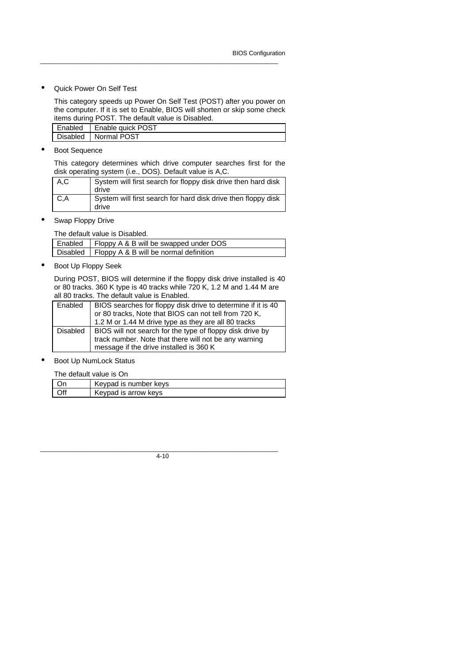• Quick Power On Self Test

This category speeds up Power On Self Test (POST) after you power on the computer. If it is set to Enable, BIOS will shorten or skip some check items during POST. The default value is Disabled.

\_\_\_\_\_\_\_\_\_\_\_\_\_\_\_\_\_\_\_\_\_\_\_\_\_\_\_\_\_\_\_\_\_\_\_\_\_\_\_\_\_\_\_\_\_\_\_\_\_\_\_\_\_\_\_\_\_\_\_\_\_\_\_\_\_\_\_\_\_\_

| Enabled   Enable quick POST |
|-----------------------------|
| Disabled   Normal POST      |

**Boot Sequence** 

This category determines which drive computer searches first for the disk operating system (i.e., DOS). Default value is A,C.

| A,C | System will first search for floppy disk drive then hard disk<br>drive |
|-----|------------------------------------------------------------------------|
| C.A | System will first search for hard disk drive then floppy disk<br>drive |

Swap Floppy Drive

The default value is Disabled. Enabled | Floppy A & B will be swapped under DOS Disabled Floppy A & B will be normal definition

• Boot Up Floppy Seek

During POST, BIOS will determine if the floppy disk drive installed is 40 or 80 tracks. 360 K type is 40 tracks while 720 K, 1.2 M and 1.44 M are all 80 tracks. The default value is Enabled.

| Enabled  | BIOS searches for floppy disk drive to determine if it is 40 |
|----------|--------------------------------------------------------------|
|          | or 80 tracks, Note that BIOS can not tell from 720 K,        |
|          | 1.2 M or 1.44 M drive type as they are all 80 tracks         |
| Disabled | BIOS will not search for the type of floppy disk drive by    |
|          | track number. Note that there will not be any warning        |
|          | message if the drive installed is 360 K                      |

Boot Up NumLock Status

The default value is On

|      | Keypad is number keys |
|------|-----------------------|
| ∣∩ff | Keypad is arrow keys  |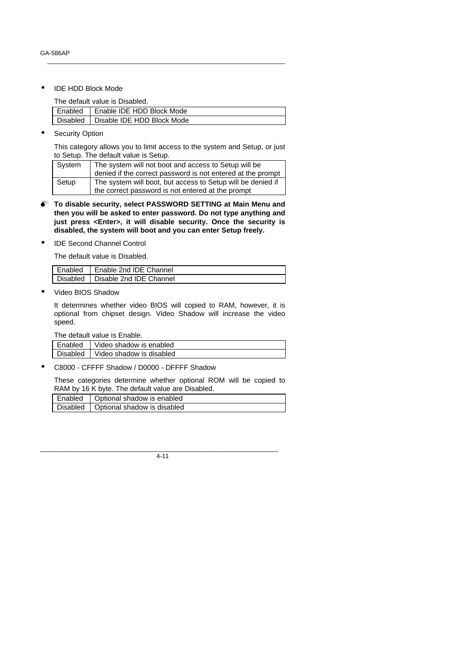• IDE HDD Block Mode

The default value is Disabled.

| Enabled   Enable IDE HDD Block Mode   |
|---------------------------------------|
| Disabled   Disable IDE HDD Block Mode |

\_\_\_\_\_\_\_\_\_\_\_\_\_\_\_\_\_\_\_\_\_\_\_\_\_\_\_\_\_\_\_\_\_\_\_\_\_\_\_\_\_\_\_\_\_\_\_\_\_\_\_\_\_\_\_\_\_\_\_\_\_\_\_\_\_\_\_\_\_\_

**Security Option** 

This category allows you to limit access to the system and Setup, or just to Setup. The default value is Setup.

| System | The system will not boot and access to Setup will be        |  |
|--------|-------------------------------------------------------------|--|
|        | denied if the correct password is not entered at the prompt |  |
| Setup  | The system will boot, but access to Setup will be denied if |  |
|        | the correct password is not entered at the prompt           |  |

- $\bullet^*$  To disable security, select PASSWORD SETTING at Main Menu and **then you will be asked to enter password. Do not type anything and just press <Enter>, it will disable security. Once the security is disabled, the system will boot and you can enter Setup freely.**
- IDE Second Channel Control

The default value is Disabled.

| Enabled   Enable 2nd IDE Channel |
|----------------------------------|
| Disabled Disable 2nd IDE Channel |

• Video BIOS Shadow

It determines whether video BIOS will copied to RAM, however, it is optional from chipset design. Video Shadow will increase the video speed.

The default value is Enable.

| Enabled   Video shadow is enabled   |
|-------------------------------------|
| Disabled   Video shadow is disabled |

• C8000 - CFFFF Shadow / D0000 - DFFFF Shadow

These categories determine whether optional ROM will be copied to RAM by 16 K byte. The default value are Disabled.

|  | Enabled   Optional shadow is enabled   |
|--|----------------------------------------|
|  | Disabled   Optional shadow is disabled |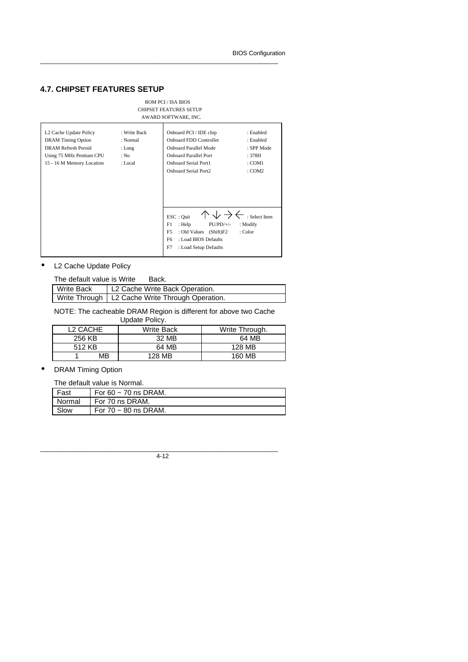## **4.7. CHIPSET FEATURES SETUP**

#### ROM PCI / ISA BIOS CHIPSET FEATURES SETUP AWARD SOFTWARE, INC.

\_\_\_\_\_\_\_\_\_\_\_\_\_\_\_\_\_\_\_\_\_\_\_\_\_\_\_\_\_\_\_\_\_\_\_\_\_\_\_\_\_\_\_\_\_\_\_\_\_\_\_\_\_\_\_\_\_\_\_\_\_\_\_\_\_\_\_\_\_\_

| L2 Cache Update Policy    | : Write Back | Onboard PCI / IDE chip                      | : Enabled     |
|---------------------------|--------------|---------------------------------------------|---------------|
| <b>DRAM</b> Timing Option | : Normal     | <b>Onboard FDD Controller</b>               | : Enabled     |
| DRAM Refresh Peroid       | : Long       | Onboard Parallel Mode                       | : SPP Mode    |
| Using 75 MHz Pentium CPU  | : No         | <b>Onboard Parallel Port</b>                | : 378H        |
| 15 - 16 M Memory Location | : Local      | Onboard Serial Port1                        | : COM1        |
|                           |              | <b>Onboard Serial Port2</b>                 | : COM2        |
|                           |              |                                             |               |
|                           |              |                                             |               |
|                           |              |                                             |               |
|                           |              |                                             |               |
|                           |              |                                             |               |
|                           |              | ESC: Ouit                                   | : Select Item |
|                           |              | F1<br>: Help<br>$PU/PD/+/-$                 | : Modify      |
|                           |              | F <sub>5</sub><br>: Old Values<br>(Shift)F2 | : Color       |
|                           |              | : Load BIOS Defaults<br>F6                  |               |
|                           |              | F7<br>: Load Setup Defaults                 |               |
|                           |              |                                             |               |

### • L2 Cache Update Policy

| The default value is Write | Back.                                             |
|----------------------------|---------------------------------------------------|
| Write Back                 | L2 Cache Write Back Operation.                    |
|                            | Write Through   L2 Cache Write Through Operation. |

NOTE: The cacheable DRAM Region is different for above two Cache

| L <sub>2</sub> CACHE | Write Back | Write Through. |
|----------------------|------------|----------------|
| 256 KB               | 32 MB      | 64 MB          |
| 512 KB               | 64 MB      | 128 MB         |
| MB                   | 128 MB     | 160 MB         |

### • DRAM Timing Option

The default value is Normal.

| Fast   | For 60 $\sim$ 70 ns DRAM. |
|--------|---------------------------|
| Normal | For 70 ns DRAM.           |
| Slow   | For $70 \sim 80$ ns DRAM. |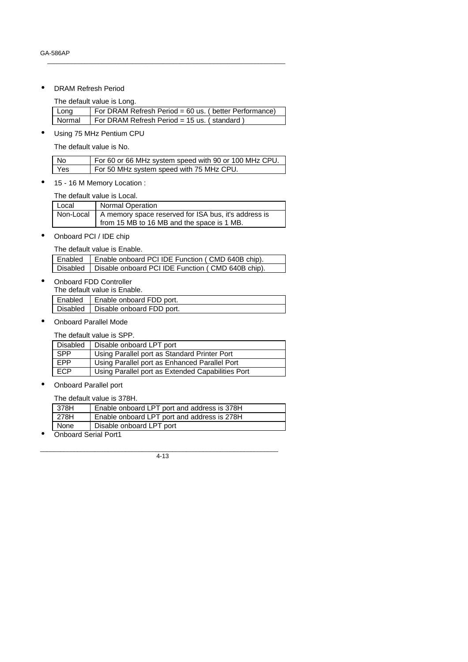• DRAM Refresh Period

The default value is Long.

| Long   | For DRAM Refresh Period = 60 us. (better Performance) |
|--------|-------------------------------------------------------|
| Normal | For DRAM Refresh Period = 15 us. (standard)           |

\_\_\_\_\_\_\_\_\_\_\_\_\_\_\_\_\_\_\_\_\_\_\_\_\_\_\_\_\_\_\_\_\_\_\_\_\_\_\_\_\_\_\_\_\_\_\_\_\_\_\_\_\_\_\_\_\_\_\_\_\_\_\_\_\_\_\_\_\_\_

• Using 75 MHz Pentium CPU

The default value is No.

| No  | For 60 or 66 MHz system speed with 90 or 100 MHz CPU. |
|-----|-------------------------------------------------------|
| Yes | For 50 MHz system speed with 75 MHz CPU.              |

• 15 - 16 M Memory Location :

The default value is Local.

| Local | <b>Normal Operation</b>                                                |
|-------|------------------------------------------------------------------------|
|       | Non-Local $\vert$ A memory space reserved for ISA bus, it's address is |
|       | from 15 MB to 16 MB and the space is 1 MB.                             |

• Onboard PCI / IDE chip

The default value is Enable.

| Enabled   Enable onboard PCI IDE Function (CMD 640B chip).   |
|--------------------------------------------------------------|
| Disabled   Disable onboard PCI IDE Function (CMD 640B chip). |

• Onboard FDD Controller

 $\mathsf{I}$ 

The default value is Enable.

| Enabled | Enable onboard FDD port.             |
|---------|--------------------------------------|
|         | Disabled   Disable onboard FDD port. |

• Onboard Parallel Mode

The default value is SPP.

| <b>Disabled</b> | Disable onboard LPT port                          |
|-----------------|---------------------------------------------------|
| <b>SPP</b>      | Using Parallel port as Standard Printer Port      |
| FPP             | Using Parallel port as Enhanced Parallel Port     |
| ECP             | Using Parallel port as Extended Capabilities Port |

• Onboard Parallel port

The default value is 378H.

| 378H | Enable onboard LPT port and address is 378H |
|------|---------------------------------------------|
| 278H | Enable onboard LPT port and address is 278H |
| None | Disable onboard LPT port                    |

• Onboard Serial Port1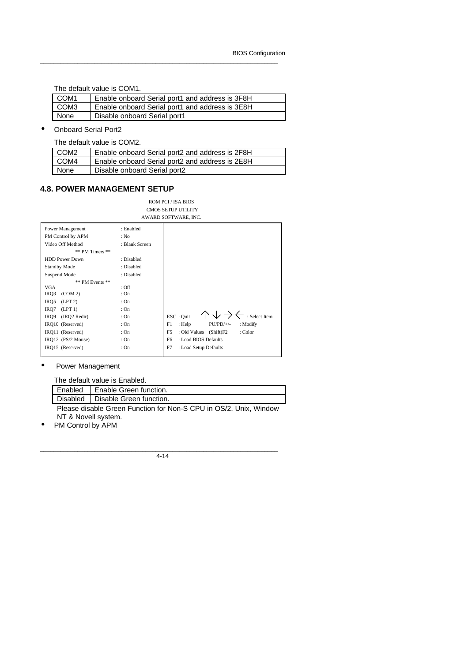I

The default value is COM1.

| COM1 | Enable onboard Serial port1 and address is 3F8H |
|------|-------------------------------------------------|
| COM3 | Enable onboard Serial port1 and address is 3E8H |
| None | Disable onboard Serial port1                    |

\_\_\_\_\_\_\_\_\_\_\_\_\_\_\_\_\_\_\_\_\_\_\_\_\_\_\_\_\_\_\_\_\_\_\_\_\_\_\_\_\_\_\_\_\_\_\_\_\_\_\_\_\_\_\_\_\_\_\_\_\_\_\_\_\_\_\_\_\_\_

• Onboard Serial Port2

The default value is COM2.

| COM <sub>2</sub> | Enable onboard Serial port2 and address is 2F8H |
|------------------|-------------------------------------------------|
| COM4             | Enable onboard Serial port2 and address is 2E8H |
| None             | Disable onboard Serial port2                    |

### **4.8. POWER MANAGEMENT SETUP**

ROM PCI / ISA BIOS CMOS SETUP UTILITY AWARD SOFTWARE, INC.

| Power Management      | : Enabled      |                                                     |
|-----------------------|----------------|-----------------------------------------------------|
| PM Control by APM     | : No           |                                                     |
| Video Off Method      | : Blank Screen |                                                     |
| ** PM Timers **       |                |                                                     |
| <b>HDD Power Down</b> | : Disabled     |                                                     |
| <b>Standby Mode</b>   | : Disabled     |                                                     |
| Suspend Mode          | : Disabled     |                                                     |
| ** PM Events **       |                |                                                     |
| VGA                   | $:$ Off        |                                                     |
| IRQ3<br>(COM 2)       | : On           |                                                     |
| IRQ5<br>(LPT 2)       | : On           |                                                     |
| IRO7<br>(LPT 1)       | : On           |                                                     |
| IRO9<br>(IRO2 Redir)  | : On           | : Select Item<br>ESC: Quit                          |
| IRQ10 (Reserved)      | : On           | F1<br>$PU/PD/+/-$<br>: Help<br>: Modify             |
| IRO11 (Reserved)      | : On           | F <sub>5</sub><br>: Old Values (Shift)F2<br>: Color |
| IRO12 (PS/2 Mouse)    | : On           | : Load BIOS Defaults<br>F6                          |
| IRO15 (Reserved)      | : On           | F7<br>: Load Setup Defaults                         |
|                       |                |                                                     |

### • Power Management

The default value is Enabled.

|        | Enabled   Enable Green function.   |
|--------|------------------------------------|
|        | Disabled   Disable Green function. |
| $\sim$ | $\cdots$ $\cdots$                  |

Please disable Green Function for Non-S CPU in OS/2, Unix, Window NT & Novell system.

PM Control by APM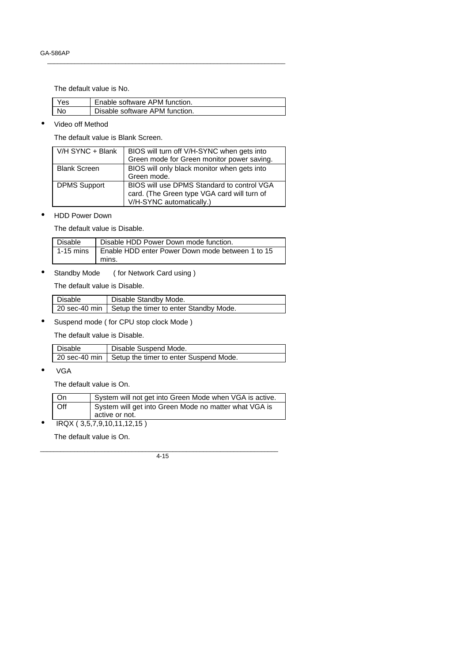The default value is No.

| Yes. | Enable software APM function.  |
|------|--------------------------------|
| No   | Disable software APM function. |

\_\_\_\_\_\_\_\_\_\_\_\_\_\_\_\_\_\_\_\_\_\_\_\_\_\_\_\_\_\_\_\_\_\_\_\_\_\_\_\_\_\_\_\_\_\_\_\_\_\_\_\_\_\_\_\_\_\_\_\_\_\_\_\_\_\_\_\_\_\_

• Video off Method

The default value is Blank Screen.

| V/H SYNC + Blank    | BIOS will turn off V/H-SYNC when gets into<br>Green mode for Green monitor power saving.                              |
|---------------------|-----------------------------------------------------------------------------------------------------------------------|
| <b>Blank Screen</b> | BIOS will only black monitor when gets into<br>Green mode.                                                            |
| <b>DPMS Support</b> | BIOS will use DPMS Standard to control VGA<br>card. (The Green type VGA card will turn of<br>V/H-SYNC automatically.) |

• HDD Power Down

The default value is Disable.

| Disable | Disable HDD Power Down mode function.                        |
|---------|--------------------------------------------------------------|
|         | 1-15 mins   Enable HDD enter Power Down mode between 1 to 15 |
|         | mins.                                                        |

• Standby Mode ( for Network Card using )

The default value is Disable.

| Disable | Disable Standby Mode.                                  |
|---------|--------------------------------------------------------|
|         | 20 sec-40 min   Setup the timer to enter Standby Mode. |

• Suspend mode ( for CPU stop clock Mode )

The default value is Disable.

| Disable | Disable Suspend Mode.                                  |
|---------|--------------------------------------------------------|
|         | 20 sec-40 min   Setup the timer to enter Suspend Mode. |

• VGA

The default value is On.

| - On | System will not get into Green Mode when VGA is active.                 |
|------|-------------------------------------------------------------------------|
| Off  | System will get into Green Mode no matter what VGA is<br>active or not. |

• IRQX ( 3,5,7,9,10,11,12,15 )

The default value is On.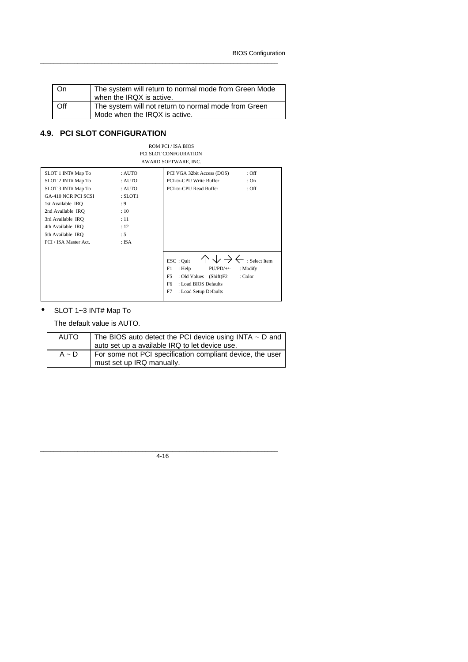BIOS Configuration

| On  | The system will return to normal mode from Green Mode<br>when the IRQX is active.     |
|-----|---------------------------------------------------------------------------------------|
| Off | The system will not return to normal mode from Green<br>Mode when the IRQX is active. |

\_\_\_\_\_\_\_\_\_\_\_\_\_\_\_\_\_\_\_\_\_\_\_\_\_\_\_\_\_\_\_\_\_\_\_\_\_\_\_\_\_\_\_\_\_\_\_\_\_\_\_\_\_\_\_\_\_\_\_\_\_\_\_\_\_\_\_\_\_\_

## **4.9. PCI SLOT CONFIGURATION**

#### ROM PCI / ISA BIOS PCI SLOT CONFGURATION AWARD SOFTWARE, INC.

| SLOT 1 INT# Map To         | : AUTO       | PCI VGA 32bit Access (DOS)<br>$:$ Off                  |  |
|----------------------------|--------------|--------------------------------------------------------|--|
| SLOT 2 INT# Map To         | : AUTO       | PCI-to-CPU Write Buffer<br>: On                        |  |
| SLOT 3 INT# Map To         | : AUTO       | PCI-to-CPU Read Buffer<br>$:$ Off                      |  |
| <b>GA-410 NCR PCI SCSI</b> | $:$ SLOT $1$ |                                                        |  |
| 1st Available IRO          | : 9          |                                                        |  |
| 2nd Available IRO          | : 10         |                                                        |  |
| 3rd Available IRO          | :11          |                                                        |  |
| 4th Available IRO          | : 12         |                                                        |  |
| 5th Available IRQ          | :5           |                                                        |  |
| PCI / ISA Master Act.      | : ISA        |                                                        |  |
|                            |              |                                                        |  |
|                            |              | : Select Item<br>ESC: Quit                             |  |
|                            |              |                                                        |  |
|                            |              | F1<br>$PU/PD/+/-$<br>: Help<br>: Modify                |  |
|                            |              | F <sub>5</sub><br>: Old Values<br>(Shift)F2<br>: Color |  |
|                            |              | F <sub>6</sub><br>: Load BIOS Defaults                 |  |
|                            |              | F7<br>: Load Setup Defaults                            |  |
|                            |              |                                                        |  |

## • SLOT 1~3 INT# Map To

The default value is AUTO.

| <b>AUTO</b> | The BIOS auto detect the PCI device using INTA $\sim$ D and<br>auto set up a available IRQ to let device use. |
|-------------|---------------------------------------------------------------------------------------------------------------|
| $A \sim D$  | For some not PCI specification compliant device, the user<br>must set up IRQ manually.                        |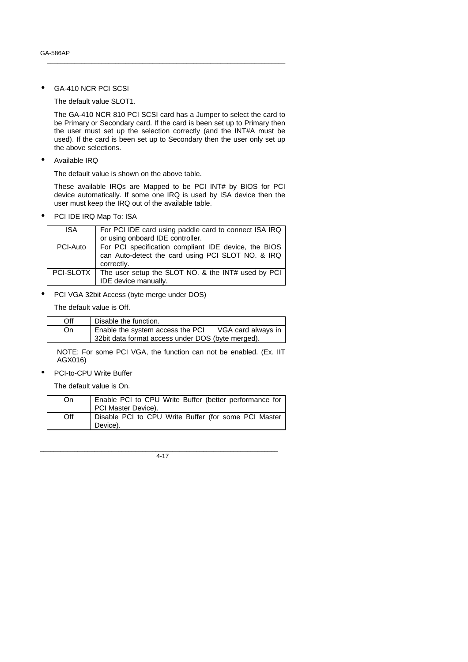GA-410 NCR PCI SCSI

The default value SLOT1.

The GA-410 NCR 810 PCI SCSI card has a Jumper to select the card to be Primary or Secondary card. If the card is been set up to Primary then the user must set up the selection correctly (and the INT#A must be used). If the card is been set up to Secondary then the user only set up the above selections.

\_\_\_\_\_\_\_\_\_\_\_\_\_\_\_\_\_\_\_\_\_\_\_\_\_\_\_\_\_\_\_\_\_\_\_\_\_\_\_\_\_\_\_\_\_\_\_\_\_\_\_\_\_\_\_\_\_\_\_\_\_\_\_\_\_\_\_\_\_\_

• Available IRQ

The default value is shown on the above table.

These available IRQs are Mapped to be PCI INT# by BIOS for PCI device automatically. If some one IRQ is used by ISA device then the user must keep the IRQ out of the available table.

PCI IDE IRQ Map To: ISA

| <b>ISA</b> | For PCI IDE card using paddle card to connect ISA IRQ          |
|------------|----------------------------------------------------------------|
|            | or using onboard IDE controller.                               |
| PCI-Auto   | For PCI specification compliant IDE device, the BIOS           |
|            | can Auto-detect the card using PCI SLOT NO. & IRQ              |
|            | correctly.                                                     |
|            | PCI-SLOTX   The user setup the SLOT NO. & the INT# used by PCI |
|            | IDE device manually.                                           |

• PCI VGA 32bit Access (byte merge under DOS)

The default value is Off.

| Off | Disable the function.                             |                    |
|-----|---------------------------------------------------|--------------------|
| On  | Enable the system access the PCI                  | VGA card always in |
|     | 32bit data format access under DOS (byte merged). |                    |

NOTE: For some PCI VGA, the function can not be enabled. (Ex. IIT AGX016)

PCI-to-CPU Write Buffer

The default value is On.

| On. | Enable PCI to CPU Write Buffer (better performance for<br>PCI Master Device). |
|-----|-------------------------------------------------------------------------------|
| Off | Disable PCI to CPU Write Buffer (for some PCI Master<br>Device).              |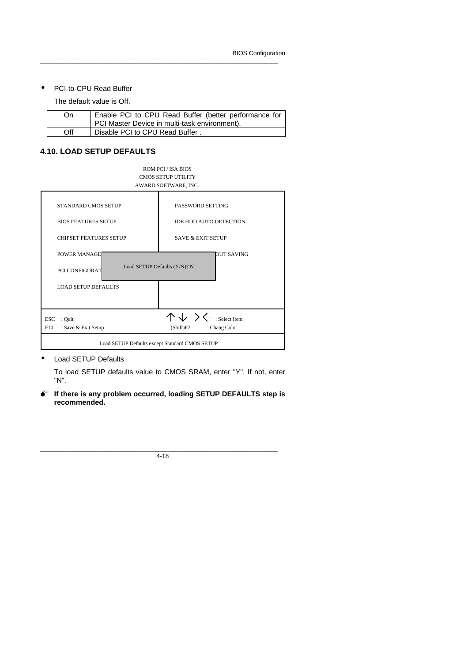#### • PCI-to-CPU Read Buffer

The default value is Off.

| On  | Enable PCI to CPU Read Buffer (better performance for |
|-----|-------------------------------------------------------|
|     | PCI Master Device in multi-task environment).         |
| Off | Disable PCI to CPU Read Buffer.                       |

\_\_\_\_\_\_\_\_\_\_\_\_\_\_\_\_\_\_\_\_\_\_\_\_\_\_\_\_\_\_\_\_\_\_\_\_\_\_\_\_\_\_\_\_\_\_\_\_\_\_\_\_\_\_\_\_\_\_\_\_\_\_\_\_\_\_\_\_\_\_

## **4.10. LOAD SETUP DEFAULTS**

| ROM PCL/ISA BIOS<br><b>CMOS SETUP UTILITY</b><br>AWARD SOFTWARE, INC.                                                                          |                               |  |  |  |
|------------------------------------------------------------------------------------------------------------------------------------------------|-------------------------------|--|--|--|
| <b>STANDARD CMOS SETUP</b>                                                                                                                     | <b>PASSWORD SETTING</b>       |  |  |  |
| <b>BIOS FEATURES SETUP</b>                                                                                                                     | <b>IDE HDD AUTO DETECTION</b> |  |  |  |
| <b>CHIPSET FEATURES SETUP</b>                                                                                                                  | <b>SAVE &amp; EXIT SETUP</b>  |  |  |  |
| POWER MANAGE<br>OUT SAVING<br>Load SETUP Defaults (Y/N)? N<br>PCI CONFIGURAT                                                                   |                               |  |  |  |
| <b>LOAD SETUP DEFAULTS</b>                                                                                                                     |                               |  |  |  |
| $\uparrow \Downarrow \Rightarrow \Leftarrow$ : Select Item<br><b>ESC</b><br>: Quit<br>F10<br>: Save & Exit Setup<br>: Chang Color<br>(Shift)F2 |                               |  |  |  |
| Load SETUP Defaults except Standard CMOS SETUP                                                                                                 |                               |  |  |  |

• Load SETUP Defaults

To load SETUP defaults value to CMOS SRAM, enter "Y". If not, enter "N".

 $\bullet^*$  If there is any problem occurred, loading SETUP DEFAULTS step is **recommended.**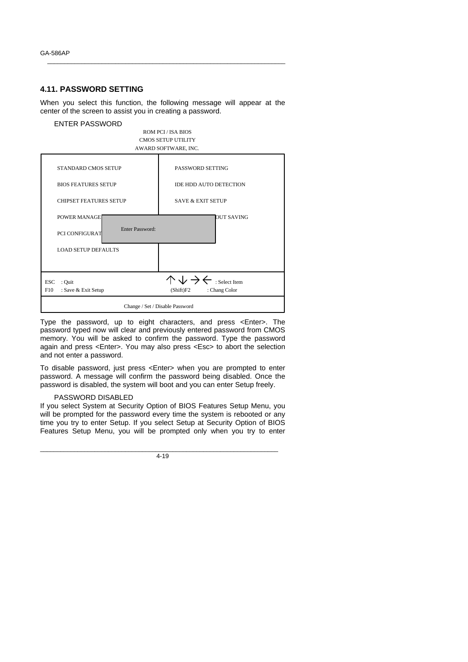### **4.11. PASSWORD SETTING**

When you select this function, the following message will appear at the center of the screen to assist you in creating a password.

\_\_\_\_\_\_\_\_\_\_\_\_\_\_\_\_\_\_\_\_\_\_\_\_\_\_\_\_\_\_\_\_\_\_\_\_\_\_\_\_\_\_\_\_\_\_\_\_\_\_\_\_\_\_\_\_\_\_\_\_\_\_\_\_\_\_\_\_\_\_



Type the password, up to eight characters, and press <Enter>. The password typed now will clear and previously entered password from CMOS memory. You will be asked to confirm the password. Type the password again and press <Enter>. You may also press <Esc> to abort the selection and not enter a password.

To disable password, just press <Enter> when you are prompted to enter password. A message will confirm the password being disabled. Once the password is disabled, the system will boot and you can enter Setup freely.

### PASSWORD DISABLED

If you select System at Security Option of BIOS Features Setup Menu, you will be prompted for the password every time the system is rebooted or any time you try to enter Setup. If you select Setup at Security Option of BIOS Features Setup Menu, you will be prompted only when you try to enter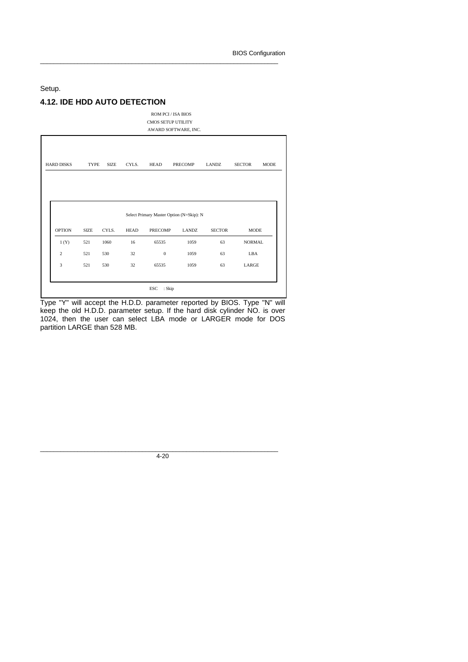Setup.

## **4.12. IDE HDD AUTO DETECTION**

ROM PCI / ISA BIOS CMOS SETUP UTILITY AWARD SOFTWARE, INC.

\_\_\_\_\_\_\_\_\_\_\_\_\_\_\_\_\_\_\_\_\_\_\_\_\_\_\_\_\_\_\_\_\_\_\_\_\_\_\_\_\_\_\_\_\_\_\_\_\_\_\_\_\_\_\_\_\_\_\_\_\_\_\_\_\_\_\_\_\_\_

| <b>HARD DISKS</b> | <b>TYPE</b> | <b>SIZE</b> | CYLS.       | HEAD                                     | PRECOMP      | LANDZ         | <b>SECTOR</b> | <b>MODE</b> |
|-------------------|-------------|-------------|-------------|------------------------------------------|--------------|---------------|---------------|-------------|
|                   |             |             |             |                                          |              |               |               |             |
|                   |             |             |             |                                          |              |               |               |             |
|                   |             |             |             | Select Primary Master Option (N=Skip): N |              |               |               |             |
|                   |             |             |             |                                          |              |               |               |             |
| <b>OPTION</b>     | <b>SIZE</b> | CYLS.       | <b>HEAD</b> | PRECOMP                                  | <b>LANDZ</b> | <b>SECTOR</b> | <b>MODE</b>   |             |
| 1(Y)              | 521         | 1060        | 16          | 65535                                    | 1059         | 63            | <b>NORMAL</b> |             |
| $\mathbf{2}$      | 521         | 530         | 32          | $\boldsymbol{0}$                         | 1059         | 63            | LBA           |             |

Type "Y" will accept the H.D.D. parameter reported by BIOS. Type "N" will keep the old H.D.D. parameter setup. If the hard disk cylinder NO. is over 1024, then the user can select LBA mode or LARGER mode for DOS partition LARGE than 528 MB.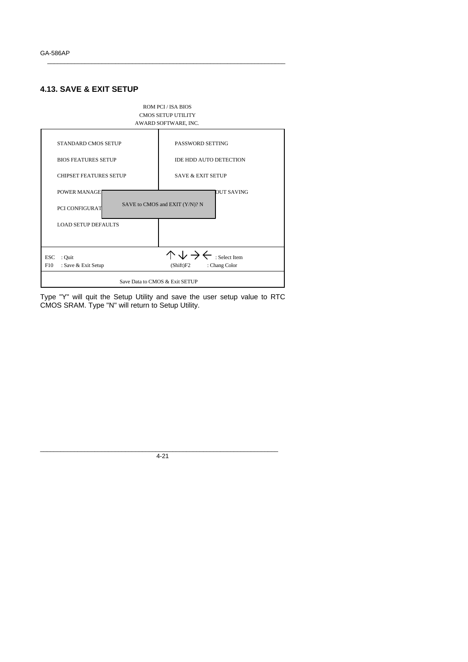### **4.13. SAVE & EXIT SETUP**



\_\_\_\_\_\_\_\_\_\_\_\_\_\_\_\_\_\_\_\_\_\_\_\_\_\_\_\_\_\_\_\_\_\_\_\_\_\_\_\_\_\_\_\_\_\_\_\_\_\_\_\_\_\_\_\_\_\_\_\_\_\_\_\_\_\_\_\_\_\_

Type "Y" will quit the Setup Utility and save the user setup value to RTC CMOS SRAM. Type "N" will return to Setup Utility.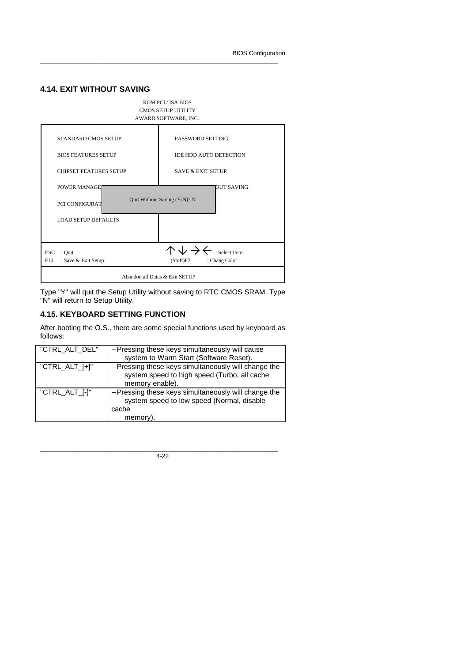### **4.14. EXIT WITHOUT SAVING**



\_\_\_\_\_\_\_\_\_\_\_\_\_\_\_\_\_\_\_\_\_\_\_\_\_\_\_\_\_\_\_\_\_\_\_\_\_\_\_\_\_\_\_\_\_\_\_\_\_\_\_\_\_\_\_\_\_\_\_\_\_\_\_\_\_\_\_\_\_\_

Type "Y" will quit the Setup Utility without saving to RTC CMOS SRAM. Type "N" will return to Setup Utility.

## **4.15. KEYBOARD SETTING FUNCTION**

After booting the O.S., there are some special functions used by keyboard as follows:

| "CTRL_ALT_DEL"     | - Pressing these keys simultaneously will cause<br>system to Warm Start (Software Reset).                               |
|--------------------|-------------------------------------------------------------------------------------------------------------------------|
| "CTRL_ALT_ $[+]$ " | - Pressing these keys simultaneously will change the<br>system speed to high speed (Turbo, all cache<br>memory enable). |
| "CTRL_ALT_[-]"     | - Pressing these keys simultaneously will change the<br>system speed to low speed (Normal, disable<br>cache<br>memory). |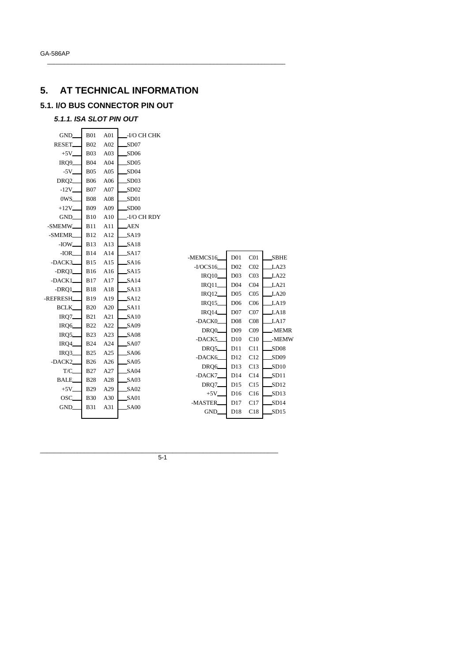# **5. AT TECHNICAL INFORMATION**

## **5.1. I/O BUS CONNECTOR PIN OUT**

## *5.1.1. ISA SLOT PIN OUT*

| GND_                | <b>B01</b> | A01 | -I/O CH CHK      |                    |                 |                 |                  |
|---------------------|------------|-----|------------------|--------------------|-----------------|-----------------|------------------|
| RESET.              | <b>B02</b> | A02 | SD07             |                    |                 |                 |                  |
| $+5V-$              | <b>B03</b> | A03 | SD06             |                    |                 |                 |                  |
| IRQ9_               | <b>B04</b> | A04 | SD05             |                    |                 |                 |                  |
| $-5V$ <sub>-</sub>  | <b>B05</b> | A05 | SD04             |                    |                 |                 |                  |
| DRQ <sub>2</sub>    | <b>B06</b> | A06 | SD03             |                    |                 |                 |                  |
| $-12V$ <sub>-</sub> | <b>B07</b> | A07 | SD02             |                    |                 |                 |                  |
| 0WS_                | <b>B08</b> | A08 | SD01             |                    |                 |                 |                  |
| $+12V$              | <b>B09</b> | A09 | SD00             |                    |                 |                 |                  |
| GND_                | <b>B10</b> | A10 | -I/O CH RDY      |                    |                 |                 |                  |
| -SMEMW_             | <b>B11</b> | A11 | <b>AEN</b>       |                    |                 |                 |                  |
| -SMEMR              | <b>B12</b> | A12 | SA19             |                    |                 |                 |                  |
| $-IOW_$             | <b>B13</b> | A13 | SA18             |                    |                 |                 |                  |
| $-IOR$              | <b>B14</b> | A14 | SA17             | -MEMCS16           | D <sub>01</sub> | C <sub>01</sub> | <b>SBHE</b>      |
| -DACK3              | <b>B15</b> | A15 | SA16             | $-I/OCS16$         | D02             | CO <sub>2</sub> | LA23             |
| $-DRQ3$             | <b>B16</b> | A16 | SA15             | <b>IRQ10</b>       | D <sub>03</sub> | CO <sub>3</sub> | LA22             |
| -DACK1              | <b>B17</b> | A17 | SA14             | IRQ11              | D <sub>04</sub> | CO <sub>4</sub> | LA21             |
| $-DRQ1$             | <b>B18</b> | A18 | SA13             | <b>IRQ12</b>       | D <sub>05</sub> | CO <sub>5</sub> | LA20             |
| -REFRESH            | <b>B19</b> | A19 | SA12             | IRQ15_             | D <sub>06</sub> | C <sub>06</sub> | <b>LA19</b>      |
| <b>BCLK</b>         | <b>B20</b> | A20 | SA11             | <b>IRQ14</b>       | D07             | CO7             | LA18             |
| $IRQ7$ <sub>-</sub> | <b>B21</b> | A21 | S <sub>A10</sub> | -DACK0             | D <sub>08</sub> | CO8             | LA17             |
| IRQ6                | <b>B22</b> | A22 | SA09             | DRQ0               | D <sub>09</sub> | CO9             | -MEMR            |
| IRQ5                | <b>B23</b> | A23 | S <sub>A08</sub> | -DACK5             | D10             | C10             | -MEMW            |
| IRQ4_               | <b>B24</b> | A24 | SA07             | DRQ5_              | D11             | C11             | SD08             |
| IRQ3                | <b>B25</b> | A25 | SA06             | -DACK6             | D <sub>12</sub> | C12             | SD <sub>09</sub> |
| -DACK2              | <b>B26</b> | A26 | SA05             | DRQ6_              | D13             | C13             | SD10             |
| T/C_                | <b>B27</b> | A27 | SA04             | -DACK7             | D14             | C14             | SD11             |
| BALE_               | <b>B28</b> | A28 | SA03             | DRQ7               | D15             | C15             | SD12             |
| $+5V$               | <b>B29</b> | A29 | SA02             | $+5V$ <sub>-</sub> | D16             | C16             | SD13             |
| OSC_                | <b>B30</b> | A30 | SA01             | -MASTER            | D17             | C17             | SD14             |
| GND.                | <b>B31</b> | A31 | SA00             | GND.               | D18             | C18             | SD15             |
|                     |            |     |                  |                    |                 |                 |                  |

 $\_$  , and the set of the set of the set of the set of the set of the set of the set of the set of the set of the set of the set of the set of the set of the set of the set of the set of the set of the set of the set of th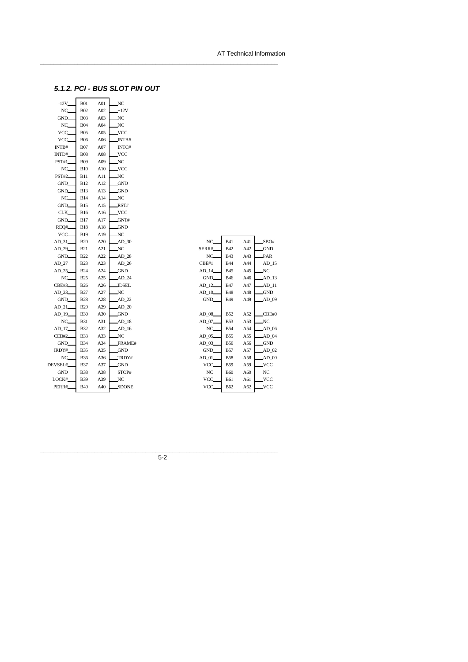### *5.1.2. PCI - BUS SLOT PIN OUT*

 $\_$  , and the set of the set of the set of the set of the set of the set of the set of the set of the set of the set of the set of the set of the set of the set of the set of the set of the set of the set of the set of th

| $-12V$ <sub>-</sub> | <b>B01</b>  | A01 | NC         |
|---------------------|-------------|-----|------------|
| NC.                 | <b>B02</b>  | A02 | $+12V$     |
| GND.                | <b>B03</b>  | A03 | NC         |
| NC.                 | B04         | A04 | NC         |
| VCC                 | <b>B05</b>  | A05 | VCC.       |
| VCC.                | <b>B06</b>  | A06 | INTA#      |
| INTB#               | <b>B07</b>  | A07 | INTC#      |
| INTD#               | <b>B08</b>  | A08 | VCC.       |
| PST#1               | <b>B09</b>  | A09 | NC         |
| NC.                 | <b>B10</b>  | A10 | VCC.       |
| <b>PST#2</b>        | B11         | A11 | NC         |
| GND.                | <b>B12</b>  | A12 | <b>GND</b> |
| GND.                | B13         | A13 | <b>GND</b> |
| NC.                 | <b>B</b> 14 | A14 | NC         |
| GND.                | B15         | A15 | RST#       |
| CLK.                | B16         | A16 | VCC.       |
| GND.                | B17         | A17 | GNT#       |
| REQ#                | B18         | A18 | GND        |
| VCC.                | B19         | A19 | NC         |
| AD_31               | <b>B20</b>  | A20 | AD_30      |
| AD 29               | B21         | A21 | NC         |
| GND.                | <b>B22</b>  | A22 | AD_28      |
| AD_27               | <b>B23</b>  | A23 | AD_26      |
| AD 25               | <b>B24</b>  | A24 | <b>GND</b> |
| NC.                 | B25         | A25 | AD_24      |
| CBE#3               | <b>B26</b>  | A26 | JDSEL      |
| AD_23               | B27         | A27 | NC         |
| GND.                | <b>B28</b>  | A28 | AD_22      |
| AD_21_              | B29         | A29 | AD_20      |
| $AD_19$             | <b>B30</b>  | A30 | <b>GND</b> |
| NC.                 | B31         | A31 | AD_18      |
| AD_17               | B32         | A32 | AD_16      |
| CEB#2               | B33         | A33 | NC         |
| GND_                | B34         | A34 | FRAME#     |
| IRDY#               | <b>B35</b>  | A35 | <b>GND</b> |
| NC.                 | <b>B36</b>  | A36 | TRDY#      |
| DEVSEL#             | B37         | A37 | <b>GND</b> |
| GND_                | B38         | A38 | STOP#      |
| LOCK#               | B39         | A39 | NC         |
| PERR#               | <b>B40</b>  | A40 | SDONE      |
|                     |             |     |            |

| NC.       | <b>B41</b> | A41 | SBO#       |
|-----------|------------|-----|------------|
| SERR#     | <b>B42</b> | A42 | GND        |
| NC.       | <b>B43</b> | A43 | PAR        |
| CBE#1     | <b>B44</b> | A44 | AD 15      |
| AD 14_    | <b>B45</b> | A45 | NC.        |
| GND.      | <b>B46</b> | A46 | AD 13      |
| AD 12_    | <b>B47</b> | A47 | AD 11      |
| $AD$ $10$ | <b>B48</b> | A48 | <b>GND</b> |
| GND_      | <b>B49</b> | A49 | AD 09      |
|           |            |     |            |
| AD 08     | <b>B52</b> | A52 | CBE#0      |
| AD_07_    | <b>B53</b> | A53 | NC         |
| NC.       | <b>B54</b> | A54 | $AD$ 06    |
| AD 05     | <b>B55</b> | A55 | AD 04      |
| AD 03_    | <b>B56</b> | A56 | _GND       |
| GND_      | <b>B57</b> | A57 | AD 02      |
| AD 01_    | <b>B58</b> | A58 | $AD$ $00$  |
| VCC.      | <b>B59</b> | A59 | VCC        |
| NC        | <b>B60</b> | A60 | NC         |
| VCC.      | <b>B61</b> | A61 | VCC        |
| VCC.      | <b>B62</b> | A62 | VCC        |
|           |            |     |            |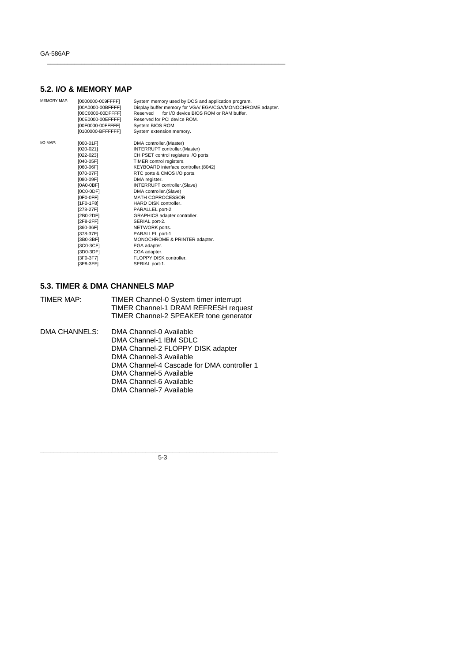## **5.2. I/O & MEMORY MAP**

| <b>MEMORY MAP:</b> | [0000000-009FFFF]<br>[00A0000-00BFFFF]<br>[00C0000-00DFFFF]<br>[00E0000-00EFFFF]<br>[00F0000-00FFFFF]<br>[0100000-BFFFFFF]                                                                                                                                                              | System memory used by DOS and application program.<br>Display buffer memory for VGA/ EGA/CGA/MONOCHROME adapter.<br>for I/O device BIOS ROM or RAM buffer.<br>Reserved<br>Reserved for PCI device ROM.<br>System BIOS ROM.<br>System extension memory.                                                                                                                                                                                                                                                                                                              |
|--------------------|-----------------------------------------------------------------------------------------------------------------------------------------------------------------------------------------------------------------------------------------------------------------------------------------|---------------------------------------------------------------------------------------------------------------------------------------------------------------------------------------------------------------------------------------------------------------------------------------------------------------------------------------------------------------------------------------------------------------------------------------------------------------------------------------------------------------------------------------------------------------------|
| I/O MAP:           | $[000-01F]$<br>$[020-021]$<br>[022-023]<br>[040-05F]<br>[060-06F]<br>[070-07F]<br>[080-09F]<br>[0A0-0BF]<br>$[0C0-0DF]$<br>[OFO-OFF]<br>$[1F0-1F8]$<br>[278-27F]<br>[2B0-2DF]<br>[2F8-2FF]<br>[360-36F]<br>[378-37F]<br>[3B0-3BF]<br>[3C0-3CF]<br>[3D0-3DF]<br>[3F0-3F7]<br>$[3F8-3FF]$ | DMA controller.(Master)<br>INTERRUPT controller. (Master)<br>CHIPSET control registers I/O ports.<br>TIMER control registers.<br>KEYBOARD interface controller.(8042)<br>RTC ports & CMOS I/O ports.<br>DMA register.<br>INTERRUPT controller.(Slave)<br>DMA controller.(Slave)<br><b>MATH COPROCESSOR</b><br><b>HARD DISK controller.</b><br>PARALLEL port-2.<br>GRAPHICS adapter controller.<br>SERIAL port-2.<br>NETWORK ports.<br>PARALLEL port-1<br>MONOCHROME & PRINTER adapter.<br>EGA adapter.<br>CGA adapter.<br>FLOPPY DISK controller.<br>SERIAL port-1. |
|                    |                                                                                                                                                                                                                                                                                         |                                                                                                                                                                                                                                                                                                                                                                                                                                                                                                                                                                     |

 $\_$  , and the set of the set of the set of the set of the set of the set of the set of the set of the set of the set of the set of the set of the set of the set of the set of the set of the set of the set of the set of th

### **5.3. TIMER & DMA CHANNELS MAP**

| TIMER MAP:    | TIMER Channel-0 System timer interrupt<br>TIMER Channel-1 DRAM REFRESH request<br>TIMER Channel-2 SPEAKER tone generator                                                                                                                         |
|---------------|--------------------------------------------------------------------------------------------------------------------------------------------------------------------------------------------------------------------------------------------------|
| DMA CHANNELS: | DMA Channel-0 Available<br>DMA Channel-1 IBM SDLC<br>DMA Channel-2 FLOPPY DISK adapter<br>DMA Channel-3 Available<br>DMA Channel-4 Cascade for DMA controller 1<br>DMA Channel-5 Available<br>DMA Channel-6 Available<br>DMA Channel-7 Available |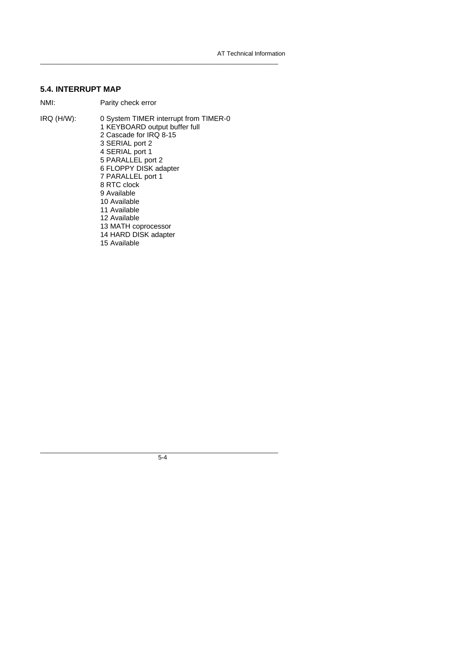### **5.4. INTERRUPT MAP**

NMI: Parity check error

IRQ (H/W): 0 System TIMER interrupt from TIMER-0 1 KEYBOARD output buffer full 2 Cascade for IRQ 8-15 3 SERIAL port 2 4 SERIAL port 1 5 PARALLEL port 2 6 FLOPPY DISK adapter 7 PARALLEL port 1 8 RTC clock 9 Available 10 Available 11 Available 12 Available 13 MATH coprocessor 14 HARD DISK adapter 15 Available

 $\_$  , and the set of the set of the set of the set of the set of the set of the set of the set of the set of the set of the set of the set of the set of the set of the set of the set of the set of the set of the set of th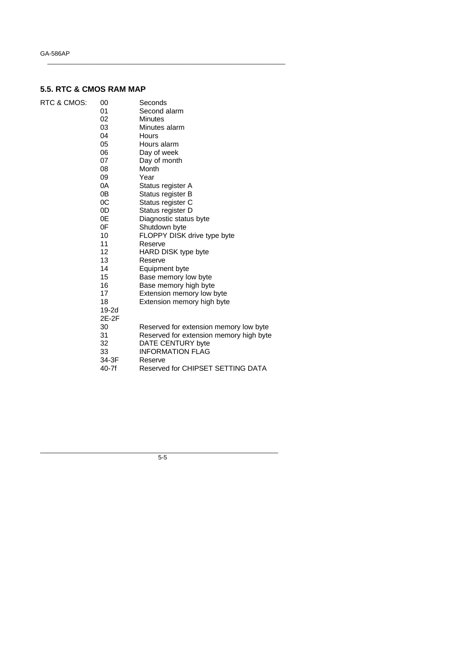## **5.5. RTC & CMOS RAM MAP**

| RTC & CMOS: | 00      | Seconds                                 |
|-------------|---------|-----------------------------------------|
|             | 01      | Second alarm                            |
|             | 02      | <b>Minutes</b>                          |
|             | 03      | Minutes alarm                           |
|             | 04      | Hours                                   |
|             | 05      | Hours alarm                             |
|             | 06      | Day of week                             |
|             | 07      | Day of month                            |
|             | 08      | Month                                   |
|             | 09      | Year                                    |
|             | 0A      | Status register A                       |
|             | 0B      | Status register B                       |
|             | 0C      | Status register C                       |
|             | 0D      | Status register D                       |
|             | 0E      | Diagnostic status byte                  |
|             | 0F      | Shutdown byte                           |
|             | 10      | FLOPPY DISK drive type byte             |
|             | 11      | Reserve                                 |
|             | 12      | HARD DISK type byte                     |
|             | 13      | Reserve                                 |
|             | 14      | Equipment byte                          |
|             | 15      | Base memory low byte                    |
|             | 16      | Base memory high byte                   |
|             | 17      | Extension memory low byte               |
|             | 18      | Extension memory high byte              |
|             | $19-2d$ |                                         |
|             | 2E-2F   |                                         |
|             | 30      | Reserved for extension memory low byte  |
|             | 31      | Reserved for extension memory high byte |
|             | 32      | DATE CENTURY byte                       |
|             | 33      | <b>INFORMATION FLAG</b>                 |
|             | 34-3F   | Reserve                                 |
|             | 40-7f   | Reserved for CHIPSET SETTING DATA       |

 $\_$  , and the set of the set of the set of the set of the set of the set of the set of the set of the set of the set of the set of the set of the set of the set of the set of the set of the set of the set of the set of th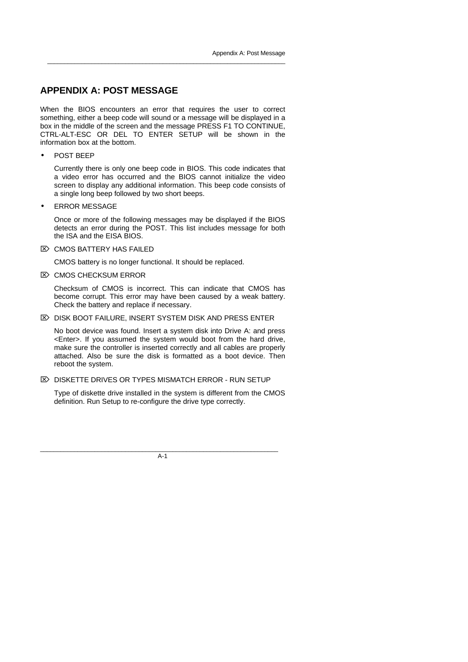## **APPENDIX A: POST MESSAGE**

When the BIOS encounters an error that requires the user to correct something, either a beep code will sound or a message will be displayed in a box in the middle of the screen and the message PRESS F1 TO CONTINUE, CTRL-ALT-ESC OR DEL TO ENTER SETUP will be shown in the information box at the bottom.

\_\_\_\_\_\_\_\_\_\_\_\_\_\_\_\_\_\_\_\_\_\_\_\_\_\_\_\_\_\_\_\_\_\_\_\_\_\_\_\_\_\_\_\_\_\_\_\_\_\_\_\_\_\_\_\_\_\_\_\_\_\_\_\_\_\_\_\_\_\_

• POST BEEP

Currently there is only one beep code in BIOS. This code indicates that a video error has occurred and the BIOS cannot initialize the video screen to display any additional information. This beep code consists of a single long beep followed by two short beeps.

**ERROR MESSAGE** 

Once or more of the following messages may be displayed if the BIOS detects an error during the POST. This list includes message for both the ISA and the EISA BIOS.

 $\overline{\infty}$  CMOS BATTERY HAS FAILED

CMOS battery is no longer functional. It should be replaced.

 $\mathbb{Z}$  CMOS CHECKSUM ERROR

Checksum of CMOS is incorrect. This can indicate that CMOS has become corrupt. This error may have been caused by a weak battery. Check the battery and replace if necessary.

 $\mathbb{Z}$  DISK BOOT FAILURE, INSERT SYSTEM DISK AND PRESS ENTER

No boot device was found. Insert a system disk into Drive A: and press <Enter>. If you assumed the system would boot from the hard drive, make sure the controller is inserted correctly and all cables are properly attached. Also be sure the disk is formatted as a boot device. Then reboot the system.

 $\mathbb{Z}$  DISKETTE DRIVES OR TYPES MISMATCH ERROR - RUN SETUP

Type of diskette drive installed in the system is different from the CMOS definition. Run Setup to re-configure the drive type correctly.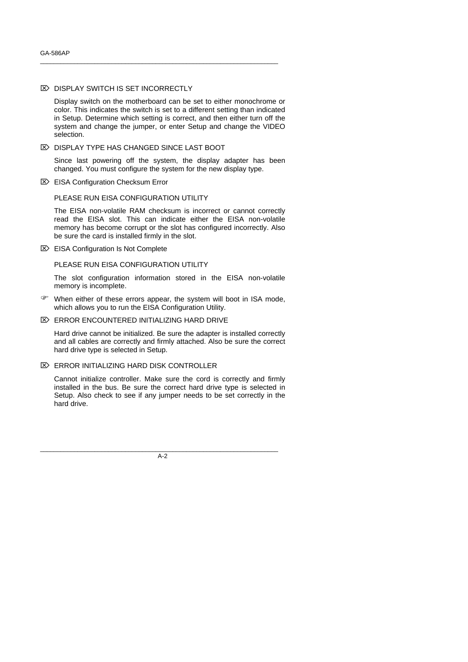#### **E> DISPLAY SWITCH IS SET INCORRECTLY**

Display switch on the motherboard can be set to either monochrome or color. This indicates the switch is set to a different setting than indicated in Setup. Determine which setting is correct, and then either turn off the system and change the jumper, or enter Setup and change the VIDEO selection.

\_\_\_\_\_\_\_\_\_\_\_\_\_\_\_\_\_\_\_\_\_\_\_\_\_\_\_\_\_\_\_\_\_\_\_\_\_\_\_\_\_\_\_\_\_\_\_\_\_\_\_\_\_\_\_\_\_\_\_\_\_\_\_\_\_\_\_\_\_\_

#### $\mathbb{Z}$  DISPLAY TYPE HAS CHANGED SINCE LAST BOOT

Since last powering off the system, the display adapter has been changed. You must configure the system for the new display type.

■ EISA Configuration Checksum Error

#### PLEASE RUN EISA CONFIGURATION UTILITY

The EISA non-volatile RAM checksum is incorrect or cannot correctly read the EISA slot. This can indicate either the EISA non-volatile memory has become corrupt or the slot has configured incorrectly. Also be sure the card is installed firmly in the slot.

 $\mathbb{Z}$  EISA Configuration Is Not Complete

### PLEASE RUN EISA CONFIGURATION UTILITY

The slot configuration information stored in the EISA non-volatile memory is incomplete.

- F When either of these errors appear, the system will boot in ISA mode, which allows you to run the EISA Configuration Utility.
- $\mathbb{Z}$  ERROR ENCOUNTERED INITIALIZING HARD DRIVE

Hard drive cannot be initialized. Be sure the adapter is installed correctly and all cables are correctly and firmly attached. Also be sure the correct hard drive type is selected in Setup.

### $\mathbb{Z}$  ERROR INITIALIZING HARD DISK CONTROLLER

Cannot initialize controller. Make sure the cord is correctly and firmly installed in the bus. Be sure the correct hard drive type is selected in Setup. Also check to see if any jumper needs to be set correctly in the hard drive.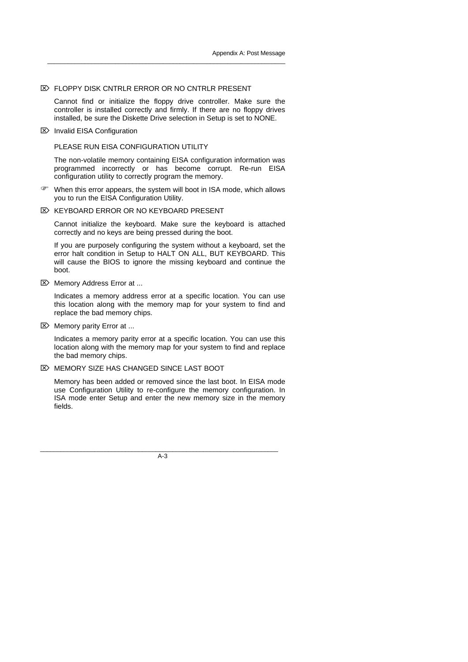#### $\mathbb{Z}$  FLOPPY DISK CNTRLR ERROR OR NO CNTRLR PRESENT

Cannot find or initialize the floppy drive controller. Make sure the controller is installed correctly and firmly. If there are no floppy drives installed, be sure the Diskette Drive selection in Setup is set to NONE.

\_\_\_\_\_\_\_\_\_\_\_\_\_\_\_\_\_\_\_\_\_\_\_\_\_\_\_\_\_\_\_\_\_\_\_\_\_\_\_\_\_\_\_\_\_\_\_\_\_\_\_\_\_\_\_\_\_\_\_\_\_\_\_\_\_\_\_\_\_\_

■ Invalid EISA Configuration

PLEASE RUN EISA CONFIGURATION UTILITY

The non-volatile memory containing EISA configuration information was programmed incorrectly or has become corrupt. Re-run EISA configuration utility to correctly program the memory.

- F When this error appears, the system will boot in ISA mode, which allows you to run the EISA Configuration Utility.
- $\boxtimes$  KEYBOARD ERROR OR NO KEYBOARD PRESENT

Cannot initialize the keyboard. Make sure the keyboard is attached correctly and no keys are being pressed during the boot.

If you are purposely configuring the system without a keyboard, set the error halt condition in Setup to HALT ON ALL, BUT KEYBOARD. This will cause the BIOS to ignore the missing keyboard and continue the boot.

 $\mathbb{Z}$  Memory Address Error at ...

Indicates a memory address error at a specific location. You can use this location along with the memory map for your system to find and replace the bad memory chips.

 $\mathbb{Z}$  Memory parity Error at ...

Indicates a memory parity error at a specific location. You can use this location along with the memory map for your system to find and replace the bad memory chips.

**EX MEMORY SIZE HAS CHANGED SINCE LAST BOOT** 

Memory has been added or removed since the last boot. In EISA mode use Configuration Utility to re-configure the memory configuration. In ISA mode enter Setup and enter the new memory size in the memory fields.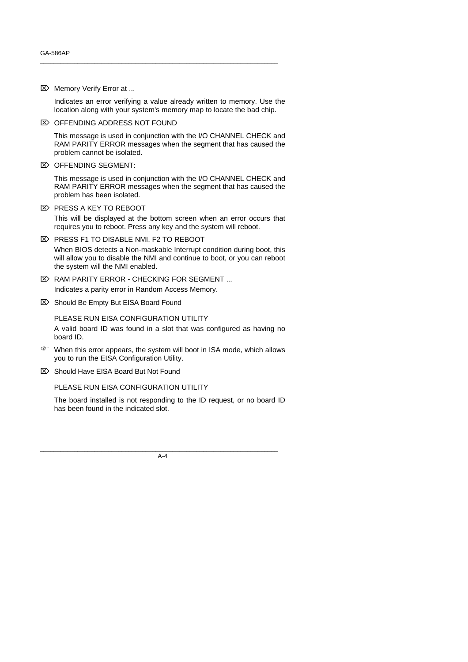$\mathbb{Z}$  Memory Verify Error at ...

Indicates an error verifying a value already written to memory. Use the location along with your system's memory map to locate the bad chip.

\_\_\_\_\_\_\_\_\_\_\_\_\_\_\_\_\_\_\_\_\_\_\_\_\_\_\_\_\_\_\_\_\_\_\_\_\_\_\_\_\_\_\_\_\_\_\_\_\_\_\_\_\_\_\_\_\_\_\_\_\_\_\_\_\_\_\_\_\_\_

 $\mathbb{Z}$  OFFENDING ADDRESS NOT FOUND

This message is used in conjunction with the I/O CHANNEL CHECK and RAM PARITY ERROR messages when the segment that has caused the problem cannot be isolated.

 $\boxtimes$  OFFENDING SEGMENT:

This message is used in conjunction with the I/O CHANNEL CHECK and RAM PARITY ERROR messages when the segment that has caused the problem has been isolated.

 $\overline{\infty}$  PRESS A KEY TO REBOOT

This will be displayed at the bottom screen when an error occurs that requires you to reboot. Press any key and the system will reboot.

- $\boxtimes$  PRESS F1 TO DISABLE NMI, F2 TO REBOOT When BIOS detects a Non-maskable Interrupt condition during boot, this will allow you to disable the NMI and continue to boot, or you can reboot the system will the NMI enabled.
- $\mathbb{Z}$  RAM PARITY ERROR CHECKING FOR SEGMENT ... Indicates a parity error in Random Access Memory.
- Should Be Empty But EISA Board Found

PLEASE RUN EISA CONFIGURATION UTILITY A valid board ID was found in a slot that was configured as having no board ID.

- F When this error appears, the system will boot in ISA mode, which allows you to run the EISA Configuration Utility.
- Should Have EISA Board But Not Found

PLEASE RUN EISA CONFIGURATION UTILITY

The board installed is not responding to the ID request, or no board ID has been found in the indicated slot.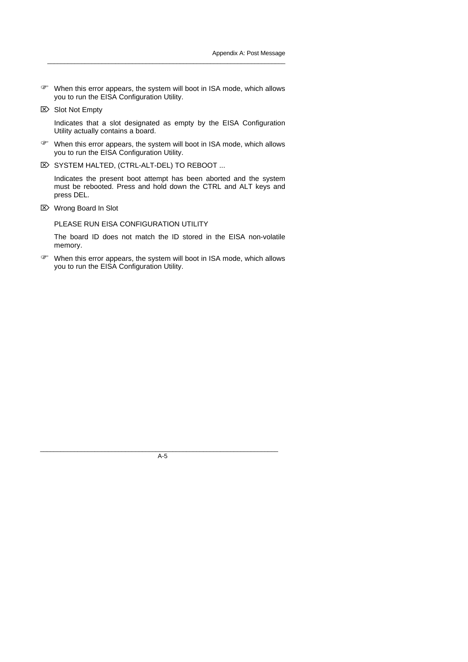F When this error appears, the system will boot in ISA mode, which allows you to run the EISA Configuration Utility.

\_\_\_\_\_\_\_\_\_\_\_\_\_\_\_\_\_\_\_\_\_\_\_\_\_\_\_\_\_\_\_\_\_\_\_\_\_\_\_\_\_\_\_\_\_\_\_\_\_\_\_\_\_\_\_\_\_\_\_\_\_\_\_\_\_\_\_\_\_\_

 $\boxtimes$  Slot Not Empty

Indicates that a slot designated as empty by the EISA Configuration Utility actually contains a board.

- F When this error appears, the system will boot in ISA mode, which allows you to run the EISA Configuration Utility.
- **E> SYSTEM HALTED, (CTRL-ALT-DEL) TO REBOOT ...**

Indicates the present boot attempt has been aborted and the system must be rebooted. Press and hold down the CTRL and ALT keys and press DEL.

÷ Wrong Board In Slot

PLEASE RUN EISA CONFIGURATION UTILITY

The board ID does not match the ID stored in the EISA non-volatile memory.

F When this error appears, the system will boot in ISA mode, which allows you to run the EISA Configuration Utility.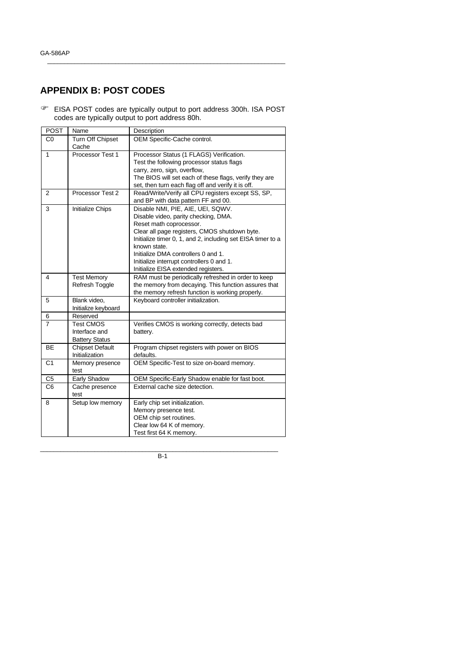## **APPENDIX B: POST CODES**

F EISA POST codes are typically output to port address 300h. ISA POST codes are typically output to port address 80h.

\_\_\_\_\_\_\_\_\_\_\_\_\_\_\_\_\_\_\_\_\_\_\_\_\_\_\_\_\_\_\_\_\_\_\_\_\_\_\_\_\_\_\_\_\_\_\_\_\_\_\_\_\_\_\_\_\_\_\_\_\_\_\_\_\_\_\_\_\_\_

| <b>POST</b>    | Name                                                       | Description                                                                                                                                                                                                                                                                                                                                                     |
|----------------|------------------------------------------------------------|-----------------------------------------------------------------------------------------------------------------------------------------------------------------------------------------------------------------------------------------------------------------------------------------------------------------------------------------------------------------|
| CO             | Turn Off Chipset<br>Cache                                  | OEM Specific-Cache control.                                                                                                                                                                                                                                                                                                                                     |
| 1              | Processor Test 1                                           | Processor Status (1 FLAGS) Verification.<br>Test the following processor status flags<br>carry, zero, sign, overflow,<br>The BIOS will set each of these flags, verify they are<br>set, then turn each flag off and verify it is off.                                                                                                                           |
| 2              | Processor Test 2                                           | Read/Write/Verify all CPU registers except SS, SP,<br>and BP with data pattern FF and 00.                                                                                                                                                                                                                                                                       |
| 3              | Initialize Chips                                           | Disable NMI, PIE, AIE, UEI, SQWV.<br>Disable video, parity checking, DMA.<br>Reset math coprocessor.<br>Clear all page registers, CMOS shutdown byte.<br>Initialize timer 0, 1, and 2, including set EISA timer to a<br>known state.<br>Initialize DMA controllers 0 and 1.<br>Initialize interrupt controllers 0 and 1.<br>Initialize EISA extended registers. |
| 4              | <b>Test Memory</b><br>Refresh Toggle                       | RAM must be periodically refreshed in order to keep<br>the memory from decaying. This function assures that<br>the memory refresh function is working properly.                                                                                                                                                                                                 |
| 5              | Blank video,<br>Initialize keyboard                        | Keyboard controller initialization.                                                                                                                                                                                                                                                                                                                             |
| 6              | Reserved                                                   |                                                                                                                                                                                                                                                                                                                                                                 |
| $\overline{7}$ | <b>Test CMOS</b><br>Interface and<br><b>Battery Status</b> | Verifies CMOS is working correctly, detects bad<br>battery.                                                                                                                                                                                                                                                                                                     |
| <b>BE</b>      | Chipset Default<br>Initialization                          | Program chipset registers with power on BIOS<br>defaults.                                                                                                                                                                                                                                                                                                       |
| C <sub>1</sub> | Memory presence<br>test                                    | OEM Specific-Test to size on-board memory.                                                                                                                                                                                                                                                                                                                      |
| C <sub>5</sub> | Early Shadow                                               | OEM Specific-Early Shadow enable for fast boot.                                                                                                                                                                                                                                                                                                                 |
| C <sub>6</sub> | Cache presence<br>test                                     | External cache size detection.                                                                                                                                                                                                                                                                                                                                  |
| 8              | Setup low memory                                           | Early chip set initialization.<br>Memory presence test.<br>OEM chip set routines.<br>Clear low 64 K of memory.<br>Test first 64 K memory.                                                                                                                                                                                                                       |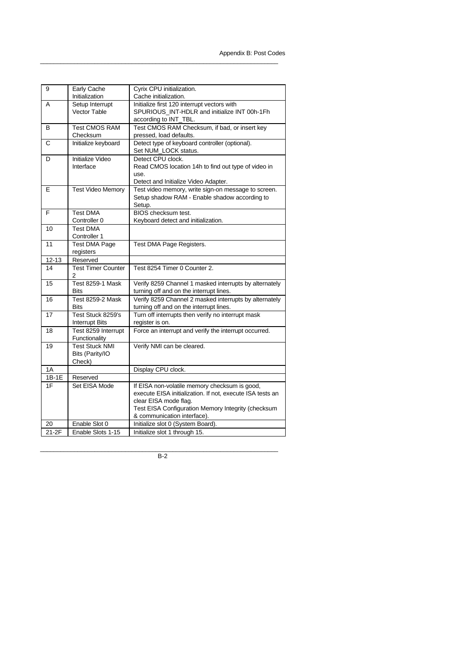| 9         | Early Cache               | Cyrix CPU initialization.                                 |
|-----------|---------------------------|-----------------------------------------------------------|
|           | Initialization            | Cache initialization.                                     |
| A         | Setup Interrupt           | Initialize first 120 interrupt vectors with               |
|           | <b>Vector Table</b>       | SPURIOUS_INT-HDLR and initialize INT 00h-1Fh              |
|           |                           | according to INT_TBL.                                     |
| в         | <b>Test CMOS RAM</b>      | Test CMOS RAM Checksum, if bad, or insert key             |
|           | Checksum                  | pressed, load defaults.                                   |
| C         | Initialize keyboard       | Detect type of keyboard controller (optional).            |
|           |                           | Set NUM_LOCK status.                                      |
| D         | Initialize Video          | Detect CPU clock.                                         |
|           | Interface                 | Read CMOS location 14h to find out type of video in       |
|           |                           | use.                                                      |
|           |                           | Detect and Initialize Video Adapter.                      |
| E         | <b>Test Video Memory</b>  | Test video memory, write sign-on message to screen.       |
|           |                           | Setup shadow RAM - Enable shadow according to             |
|           | <b>Test DMA</b>           | Setup.<br><b>BIOS</b> checksum test.                      |
| F         | Controller 0              |                                                           |
| 10        | <b>Test DMA</b>           | Keyboard detect and initialization.                       |
|           | Controller 1              |                                                           |
| 11        | <b>Test DMA Page</b>      | Test DMA Page Registers.                                  |
|           | registers                 |                                                           |
| $12 - 13$ | Reserved                  |                                                           |
| 14        | <b>Test Timer Counter</b> | Test 8254 Timer 0 Counter 2.                              |
|           | 2                         |                                                           |
| 15        | <b>Test 8259-1 Mask</b>   | Verify 8259 Channel 1 masked interrupts by alternately    |
|           | <b>Bits</b>               | turning off and on the interrupt lines.                   |
| 16        | <b>Test 8259-2 Mask</b>   | Verify 8259 Channel 2 masked interrupts by alternately    |
|           | <b>Bits</b>               | turning off and on the interrupt lines.                   |
| 17        | Test Stuck 8259's         | Turn off interrupts then verify no interrupt mask         |
|           | <b>Interrupt Bits</b>     | register is on.                                           |
| 18        | Test 8259 Interrupt       | Force an interrupt and verify the interrupt occurred.     |
|           | Functionality             |                                                           |
| 19        | <b>Test Stuck NMI</b>     | Verify NMI can be cleared.                                |
|           | Bits (Parity/IO           |                                                           |
|           | Check)                    |                                                           |
| 1A        |                           | Display CPU clock.                                        |
| 1B-1E     | Reserved                  |                                                           |
| 1F        | Set EISA Mode             | If EISA non-volatile memory checksum is good,             |
|           |                           | execute EISA initialization. If not, execute ISA tests an |
|           |                           | clear EISA mode flag.                                     |
|           |                           | Test EISA Configuration Memory Integrity (checksum        |
|           |                           | & communication interface).                               |
| 20        | Enable Slot 0             | Initialize slot 0 (System Board).                         |
| 21-2F     | Enable Slots 1-15         | Initialize slot 1 through 15.                             |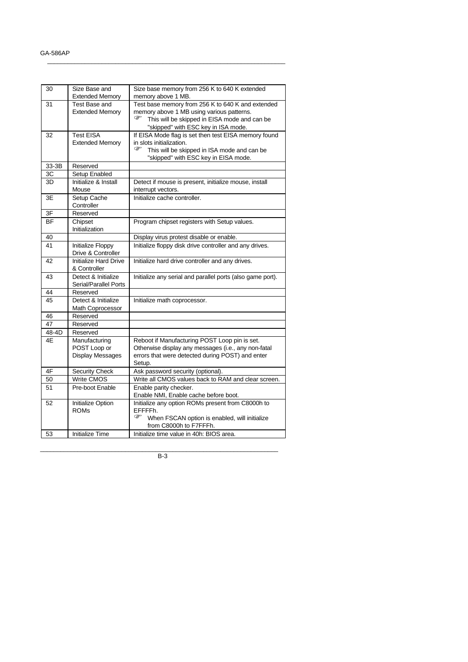| 30        | Size Base and<br><b>Extended Memory</b> | Size base memory from 256 K to 640 K extended<br>memory above 1 MB. |
|-----------|-----------------------------------------|---------------------------------------------------------------------|
| 31        | Test Base and                           | Test base memory from 256 K to 640 K and extended                   |
|           | <b>Extended Memory</b>                  | memory above 1 MB using various patterns.                           |
|           |                                         | This will be skipped in EISA mode and can be                        |
|           |                                         | "skipped" with ESC key in ISA mode.                                 |
| 32        | <b>Test EISA</b>                        | If EISA Mode flag is set then test EISA memory found                |
|           | <b>Extended Memory</b>                  | in slots initialization.                                            |
|           |                                         | ☞<br>This will be skipped in ISA mode and can be                    |
|           |                                         |                                                                     |
|           |                                         | "skipped" with ESC key in EISA mode.                                |
| 33-3B     | Reserved                                |                                                                     |
| ЗC        | Setup Enabled                           |                                                                     |
| 3D        | Initialize & Install                    | Detect if mouse is present, initialize mouse, install               |
|           | Mouse                                   | interrupt vectors.                                                  |
| 3E        | Setup Cache                             | Initialize cache controller.                                        |
|           | Controller                              |                                                                     |
| 3F        | Reserved                                |                                                                     |
| <b>BF</b> | Chipset                                 | Program chipset registers with Setup values.                        |
|           | Initialization                          |                                                                     |
| 40        |                                         | Display virus protest disable or enable.                            |
| 41        | Initialize Floppy                       | Initialize floppy disk drive controller and any drives.             |
|           | Drive & Controller                      |                                                                     |
| 42        | <b>Initialize Hard Drive</b>            | Initialize hard drive controller and any drives.                    |
|           | & Controller                            |                                                                     |
| 43        | Detect & Initialize                     | Initialize any serial and parallel ports (also game port).          |
|           | Serial/Parallel Ports                   |                                                                     |
| 44        | Reserved                                |                                                                     |
| 45        | Detect & Initialize                     | Initialize math coprocessor.                                        |
|           | Math Coprocessor                        |                                                                     |
| 46        | Reserved                                |                                                                     |
| 47        | Reserved                                |                                                                     |
| 48-4D     | Reserved                                |                                                                     |
| 4E        | Manufacturing                           | Reboot if Manufacturing POST Loop pin is set.                       |
|           | POST Loop or                            | Otherwise display any messages (i.e., any non-fatal                 |
|           | <b>Display Messages</b>                 | errors that were detected during POST) and enter                    |
|           |                                         | Setup.                                                              |
| 4F        | <b>Security Check</b>                   | Ask password security (optional).                                   |
| 50        | <b>Write CMOS</b>                       | Write all CMOS values back to RAM and clear screen.                 |
| 51        | Pre-boot Enable                         | Enable parity checker.                                              |
|           |                                         | Enable NMI, Enable cache before boot.                               |
| 52        | Initialize Option                       | Initialize any option ROMs present from C8000h to                   |
|           | <b>ROMs</b>                             | EFFFFh.                                                             |
|           |                                         | ☞<br>When FSCAN option is enabled, will initialize                  |
|           |                                         | from C8000h to F7FFFh.                                              |
|           | <b>Initialize Time</b>                  | Initialize time value in 40h: BIOS area.                            |
| 53        |                                         |                                                                     |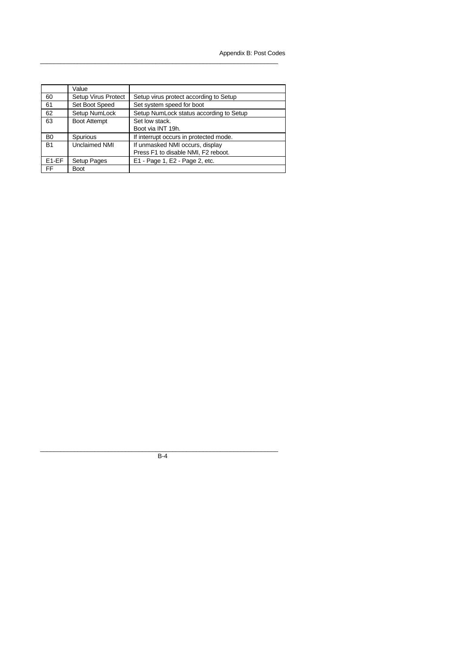|                   | Value                      |                                         |
|-------------------|----------------------------|-----------------------------------------|
| 60                | <b>Setup Virus Protect</b> | Setup virus protect according to Setup  |
| 61                | Set Boot Speed             | Set system speed for boot               |
| 62                | Setup NumLock              | Setup NumLock status according to Setup |
| 63                | <b>Boot Attempt</b>        | Set low stack.                          |
|                   |                            | Boot via INT 19h.                       |
| B <sub>0</sub>    | Spurious                   | If interrupt occurs in protected mode.  |
| <b>B1</b>         | Unclaimed NMI              | If unmasked NMI occurs, display         |
|                   |                            | Press F1 to disable NMI, F2 reboot.     |
| E <sub>1-EF</sub> | Setup Pages                | E1 - Page 1, E2 - Page 2, etc.          |
| FF                | <b>Boot</b>                |                                         |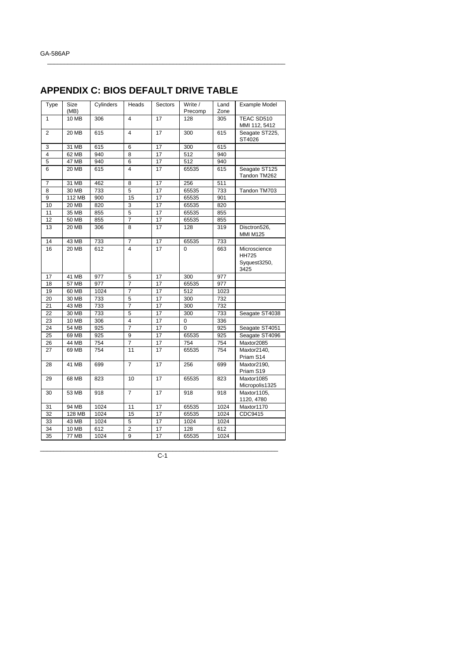# **APPENDIX C: BIOS DEFAULT DRIVE TABLE**

 $\_$  , and the set of the set of the set of the set of the set of the set of the set of the set of the set of the set of the set of the set of the set of the set of the set of the set of the set of the set of the set of th

| Type           | Size         | Cylinders | Heads                   | Sectors         | Write /  | Land | <b>Example Model</b>                                 |
|----------------|--------------|-----------|-------------------------|-----------------|----------|------|------------------------------------------------------|
|                | (MB)         |           |                         |                 | Precomp  | Zone |                                                      |
| $\mathbf{1}$   | 10 MB        | 306       | $\overline{4}$          | 17              | 128      | 305  | TEAC SD510<br>MMI 112, 5412                          |
| $\overline{2}$ | 20 MB        | 615       | $\overline{4}$          | 17              | 300      | 615  | Seagate ST225,<br>ST4026                             |
| 3              | 31 MB        | 615       | 6                       | 17              | 300      | 615  |                                                      |
| $\overline{4}$ | 62 MB        | 940       | 8                       | 17              | 512      | 940  |                                                      |
| 5              | <b>47 MB</b> | 940       | 6                       | 17              | 512      | 940  |                                                      |
| 6              | 20 MB        | 615       | 4                       | 17              | 65535    | 615  | Seagate ST125<br>Tandon TM262                        |
| 7              | 31 MB        | 462       | 8                       | 17              | 256      | 511  |                                                      |
| 8              | $30$ MB      | 733       | $\overline{5}$          | 17              | 65535    | 733  | Tandon TM703                                         |
| 9              | 112 MB       | 900       | 15                      | 17              | 65535    | 901  |                                                      |
| 10             | 20 MB        | 820       | 3                       | 17              | 65535    | 820  |                                                      |
| 11             | 35 MB        | 855       | 5                       | 17              | 65535    | 855  |                                                      |
| 12             | 50 MB        | 855       | 7                       | 17              | 65535    | 855  |                                                      |
| 13             | 20 MB        | 306       | 8                       | 17              | 128      | 319  | Disctron526,<br><b>MMI M125</b>                      |
| 14             | 43 MB        | 733       | $\overline{7}$          | 17              | 65535    | 733  |                                                      |
| 16             | 20 MB        | 612       | $\overline{\mathbf{4}}$ | 17              | 0        | 663  | Microscience<br><b>HH725</b><br>Syquest3250,<br>3425 |
| 17             | 41 MB        | 977       | 5                       | 17              | 300      | 977  |                                                      |
| 18             | 57 MB        | 977       | $\overline{7}$          | 17              | 65535    | 977  |                                                      |
| 19             | 60 MB        | 1024      | $\overline{7}$          | 17              | 512      | 1023 |                                                      |
| 20             | 30 MB        | 733       | $\overline{5}$          | 17              | 300      | 732  |                                                      |
| 21             | 43 MB        | 733       | $\overline{7}$          | 17              | 300      | 732  |                                                      |
| 22             | 30 MB        | 733       | $\overline{5}$          | $\overline{17}$ | 300      | 733  | Seagate ST4038                                       |
| 23             | <b>10 MB</b> | 306       | $\overline{\mathbf{4}}$ | 17              | 0        | 336  |                                                      |
| 24             | <b>54 MB</b> | 925       | $\overline{7}$          | 17              | $\Omega$ | 925  | Seagate ST4051                                       |
| 25             | 69 MB        | 925       | 9                       | 17              | 65535    | 925  | Seagate ST4096                                       |
| 26             | 44 MB        | 754       | $\overline{7}$          | 17              | 754      | 754  | Maxtor2085                                           |
| 27             | 69 MB        | 754       | 11                      | 17              | 65535    | 754  | Maxtor2140,<br>Priam S14                             |
| 28             | 41 MB        | 699       | $\overline{7}$          | 17              | 256      | 699  | Maxtor2190,<br>Priam S19                             |
| 29             | 68 MB        | 823       | 10                      | 17              | 65535    | 823  | Maxtor1085<br>Micropolis1325                         |
| 30             | 53 MB        | 918       | $\overline{7}$          | 17              | 918      | 918  | Maxtor1105,<br>1120, 4780                            |
| 31             | 94 MB        | 1024      | 11                      | 17              | 65535    | 1024 | Maxtor1170                                           |
| 32             | 128 MB       | 1024      | 15                      | 17              | 65535    | 1024 | CDC9415                                              |
| 33             | 43 MB        | 1024      | $\overline{5}$          | 17              | 1024     | 1024 |                                                      |
| 34             | <b>10 MB</b> | 612       | $\overline{2}$          | 17              | 128      | 612  |                                                      |
| 35             | <b>77 MB</b> | 1024      | 9                       | 17              | 65535    | 1024 |                                                      |
|                |              |           |                         |                 |          |      |                                                      |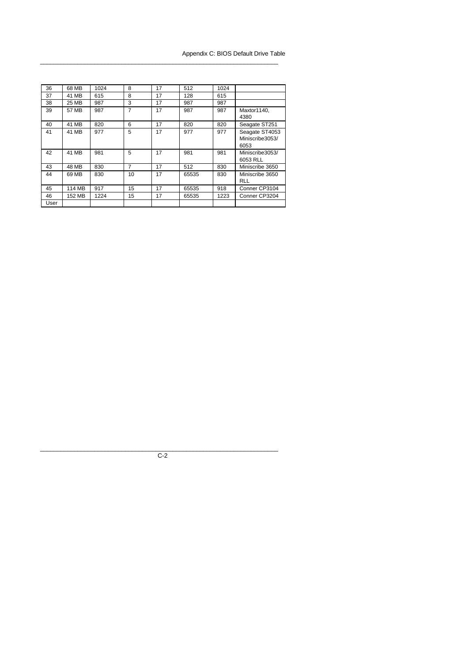### Appendix C: BIOS Default Drive Table

| 36   | 68 MB  | 1024 | 8  | 17 | 512   | 1024 |                                           |
|------|--------|------|----|----|-------|------|-------------------------------------------|
| 37   | 41 MB  | 615  | 8  | 17 | 128   | 615  |                                           |
| 38   | 25 MB  | 987  | 3  | 17 | 987   | 987  |                                           |
| 39   | 57 MB  | 987  | 7  | 17 | 987   | 987  | Maxtor1140,<br>4380                       |
| 40   | 41 MB  | 820  | 6  | 17 | 820   | 820  | Seagate ST251                             |
| 41   | 41 MB  | 977  | 5  | 17 | 977   | 977  | Seagate ST4053<br>Miniscribe3053/<br>6053 |
| 42   | 41 MB  | 981  | 5  | 17 | 981   | 981  | Miniscribe3053/<br>6053 RLL               |
| 43   | 48 MB  | 830  | 7  | 17 | 512   | 830  | Miniscribe 3650                           |
| 44   | 69 MB  | 830  | 10 | 17 | 65535 | 830  | Miniscribe 3650<br><b>RLL</b>             |
| 45   | 114 MB | 917  | 15 | 17 | 65535 | 918  | Conner CP3104                             |
| 46   | 152 MB | 1224 | 15 | 17 | 65535 | 1223 | Conner CP3204                             |
| User |        |      |    |    |       |      |                                           |

 $\_$  ,  $\_$  ,  $\_$  ,  $\_$  ,  $\_$  ,  $\_$  ,  $\_$  ,  $\_$  ,  $\_$  ,  $\_$  ,  $\_$  ,  $\_$  ,  $\_$  ,  $\_$  ,  $\_$  ,  $\_$  ,  $\_$  ,  $\_$  ,  $\_$